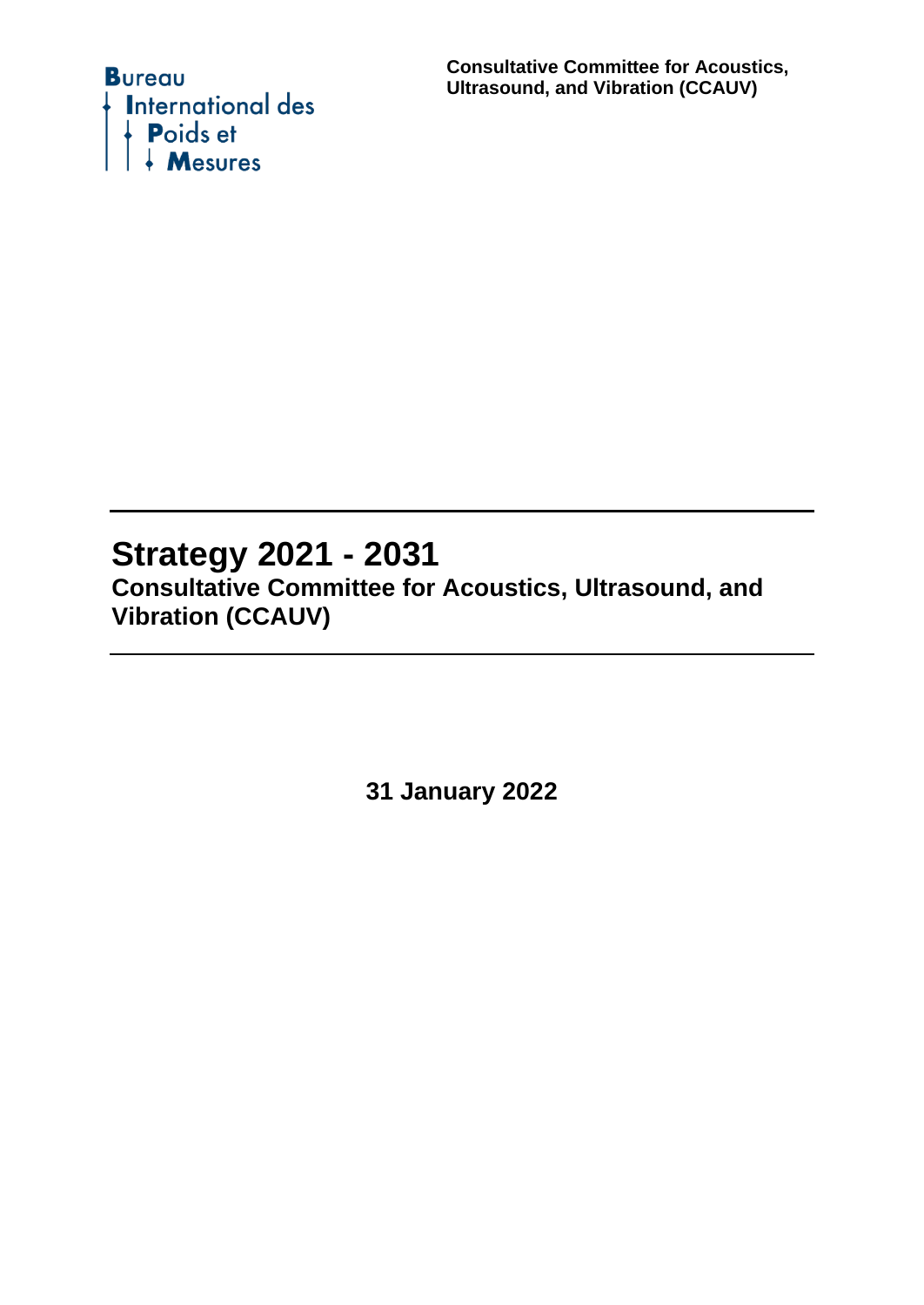

**Consultative Committee for Acoustics, Ultrasound, and Vibration (CCAUV)**

# **Strategy 2021 - 2031**

**Consultative Committee for Acoustics, Ultrasound, and Vibration (CCAUV)**

**31 January 2022**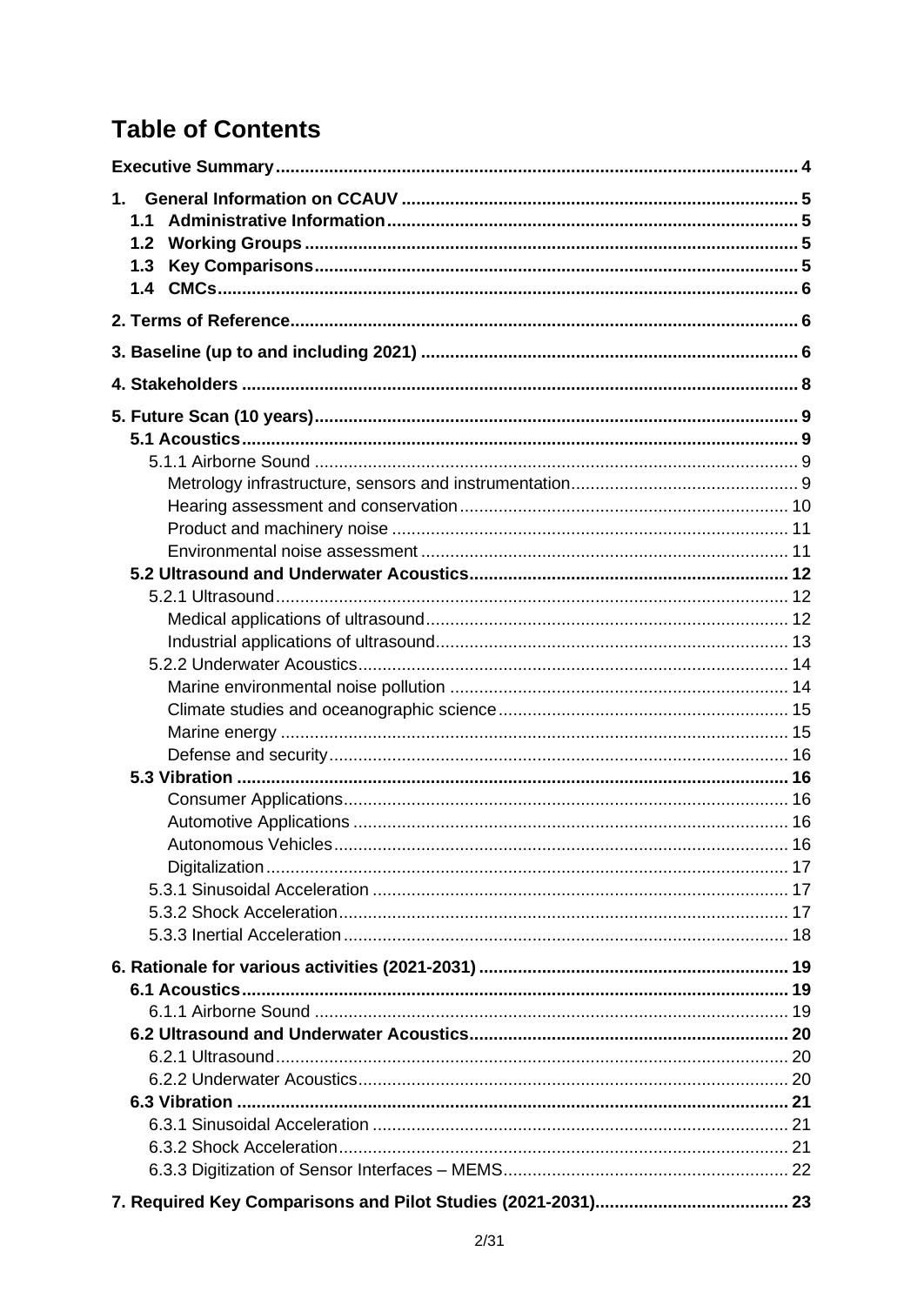# **Table of Contents**

| 1.1 |  |
|-----|--|
| 1.2 |  |
| 1.3 |  |
| 1.4 |  |
|     |  |
|     |  |
|     |  |
|     |  |
|     |  |
|     |  |
|     |  |
|     |  |
|     |  |
|     |  |
|     |  |
|     |  |
|     |  |
|     |  |
|     |  |
|     |  |
|     |  |
|     |  |
|     |  |
|     |  |
|     |  |
|     |  |
|     |  |
|     |  |
|     |  |
|     |  |
|     |  |
|     |  |
|     |  |
|     |  |
|     |  |
|     |  |
|     |  |
|     |  |
|     |  |
|     |  |
|     |  |
|     |  |
|     |  |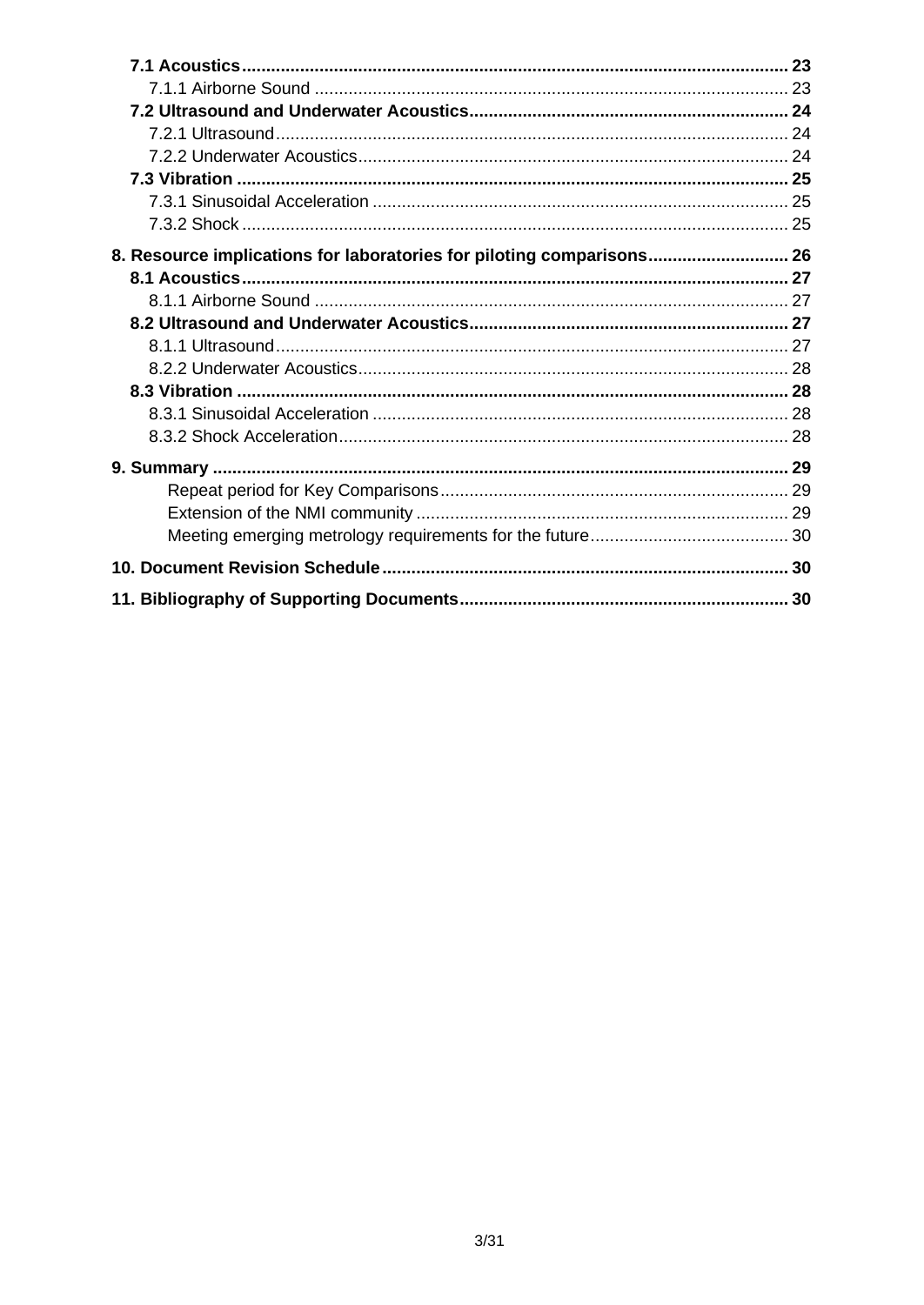| 8. Resource implications for laboratories for piloting comparisons 26 |  |
|-----------------------------------------------------------------------|--|
|                                                                       |  |
|                                                                       |  |
|                                                                       |  |
|                                                                       |  |
|                                                                       |  |
|                                                                       |  |
|                                                                       |  |
|                                                                       |  |
|                                                                       |  |
|                                                                       |  |
|                                                                       |  |
|                                                                       |  |
|                                                                       |  |
|                                                                       |  |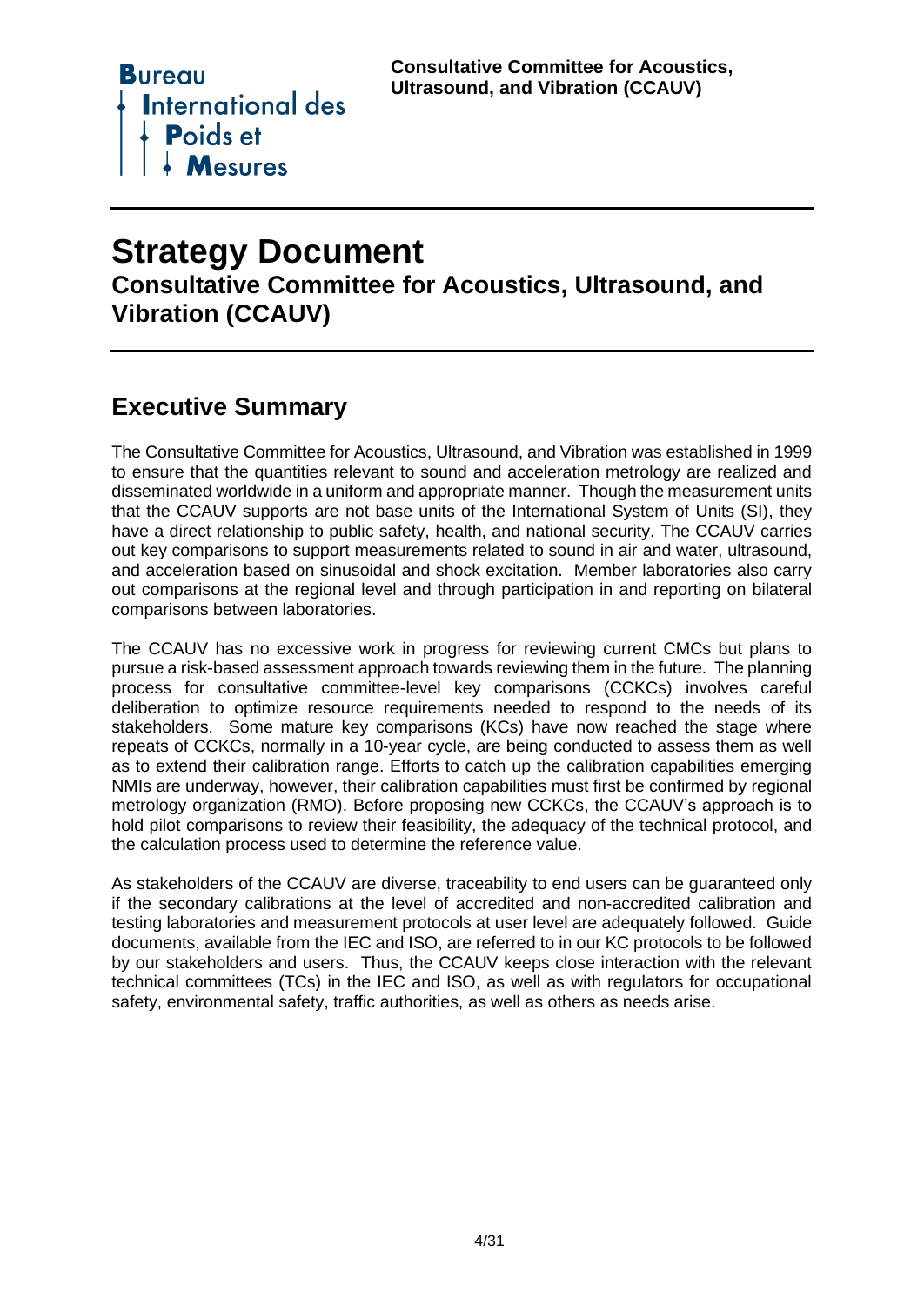

# **Strategy Document**

**Consultative Committee for Acoustics, Ultrasound, and Vibration (CCAUV)**

# <span id="page-3-0"></span>**Executive Summary**

The Consultative Committee for Acoustics, Ultrasound, and Vibration was established in 1999 to ensure that the quantities relevant to sound and acceleration metrology are realized and disseminated worldwide in a uniform and appropriate manner. Though the measurement units that the CCAUV supports are not base units of the International System of Units (SI), they have a direct relationship to public safety, health, and national security. The CCAUV carries out key comparisons to support measurements related to sound in air and water, ultrasound, and acceleration based on sinusoidal and shock excitation. Member laboratories also carry out comparisons at the regional level and through participation in and reporting on bilateral comparisons between laboratories.

The CCAUV has no excessive work in progress for reviewing current CMCs but plans to pursue a risk-based assessment approach towards reviewing them in the future. The planning process for consultative committee-level key comparisons (CCKCs) involves careful deliberation to optimize resource requirements needed to respond to the needs of its stakeholders. Some mature key comparisons (KCs) have now reached the stage where repeats of CCKCs, normally in a 10-year cycle, are being conducted to assess them as well as to extend their calibration range. Efforts to catch up the calibration capabilities emerging NMIs are underway, however, their calibration capabilities must first be confirmed by regional metrology organization (RMO). Before proposing new CCKCs, the CCAUV's approach is to hold pilot comparisons to review their feasibility, the adequacy of the technical protocol, and the calculation process used to determine the reference value.

As stakeholders of the CCAUV are diverse, traceability to end users can be guaranteed only if the secondary calibrations at the level of accredited and non-accredited calibration and testing laboratories and measurement protocols at user level are adequately followed. Guide documents, available from the IEC and ISO, are referred to in our KC protocols to be followed by our stakeholders and users. Thus, the CCAUV keeps close interaction with the relevant technical committees (TCs) in the IEC and ISO, as well as with regulators for occupational safety, environmental safety, traffic authorities, as well as others as needs arise.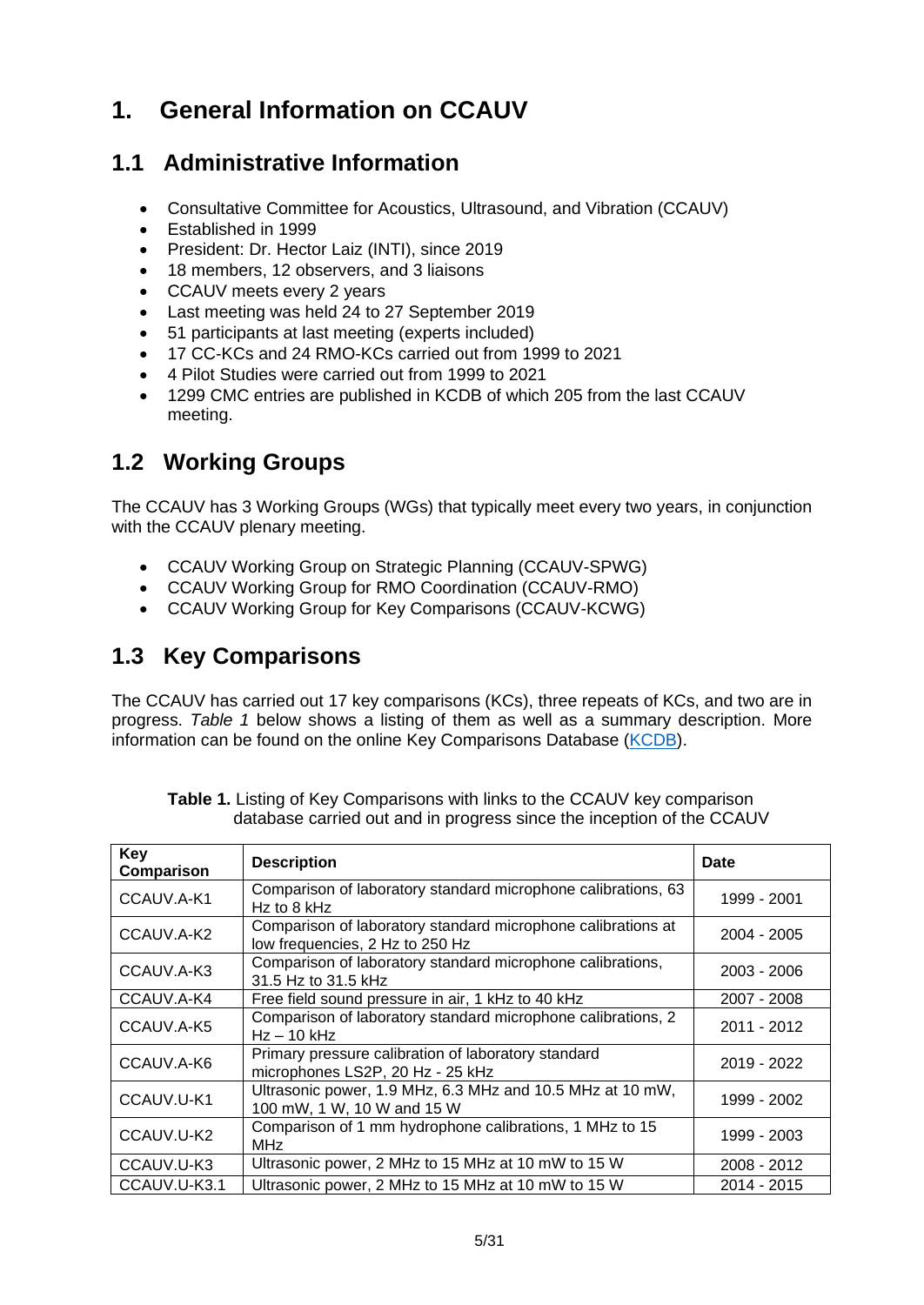# <span id="page-4-0"></span>**1. General Information on CCAUV**

## <span id="page-4-1"></span>**1.1 Administrative Information**

- Consultative Committee for Acoustics, Ultrasound, and Vibration (CCAUV)
- Established in 1999
- President: Dr. Hector Laiz (INTI), since 2019
- 18 members, 12 observers, and 3 liaisons
- CCAUV meets every 2 years
- Last meeting was held 24 to 27 September 2019
- 51 participants at last meeting (experts included)
- 17 CC-KCs and 24 RMO-KCs carried out from 1999 to 2021
- 4 Pilot Studies were carried out from 1999 to 2021
- 1299 CMC entries are published in KCDB of which 205 from the last CCAUV meeting.

# <span id="page-4-2"></span>**1.2 Working Groups**

The CCAUV has 3 Working Groups (WGs) that typically meet every two years, in conjunction with the CCAUV plenary meeting.

- CCAUV Working Group on Strategic Planning (CCAUV-SPWG)
- CCAUV Working Group for RMO Coordination (CCAUV-RMO)
- CCAUV Working Group for Key Comparisons (CCAUV-KCWG)

### <span id="page-4-3"></span>**1.3 Key Comparisons**

The CCAUV has carried out 17 key comparisons (KCs), three repeats of KCs, and two are in progress. *[Table 1](#page-4-4)* below shows a listing of them as well as a summary description. More information can be found on the online Key Comparisons Database [\(KCDB\)](https://www.bipm.org/kcdb/).

<span id="page-4-4"></span>

| Key<br>Comparison | <b>Description</b>                                                                              | Date        |
|-------------------|-------------------------------------------------------------------------------------------------|-------------|
| CCAUV.A-K1        | Comparison of laboratory standard microphone calibrations, 63<br>$Hz$ to 8 kHz                  | 1999 - 2001 |
| CCAUV.A-K2        | Comparison of laboratory standard microphone calibrations at<br>low frequencies, 2 Hz to 250 Hz | 2004 - 2005 |
| CCAUV.A-K3        | Comparison of laboratory standard microphone calibrations,<br>31.5 Hz to 31.5 kHz               | 2003 - 2006 |
| CCAUV.A-K4        | Free field sound pressure in air, 1 kHz to 40 kHz                                               | 2007 - 2008 |
| CCAUV.A-K5        | Comparison of laboratory standard microphone calibrations, 2<br>$Hz - 10$ kHz                   | 2011 - 2012 |
| CCAUV.A-K6        | Primary pressure calibration of laboratory standard<br>microphones LS2P, 20 Hz - 25 kHz         | 2019 - 2022 |
| CCAUV.U-K1        | Ultrasonic power, 1.9 MHz, 6.3 MHz and 10.5 MHz at 10 mW,<br>100 mW, 1 W, 10 W and 15 W         | 1999 - 2002 |
| CCAUV.U-K2        | Comparison of 1 mm hydrophone calibrations, 1 MHz to 15<br>MH <sub>z</sub>                      | 1999 - 2003 |
| CCAUV.U-K3        | Ultrasonic power, 2 MHz to 15 MHz at 10 mW to 15 W                                              | 2008 - 2012 |
| CCAUV.U-K3.1      | Ultrasonic power, 2 MHz to 15 MHz at 10 mW to 15 W                                              | 2014 - 2015 |

**Table 1.** Listing of Key Comparisons with links to the CCAUV key comparison database carried out and in progress since the inception of the CCAUV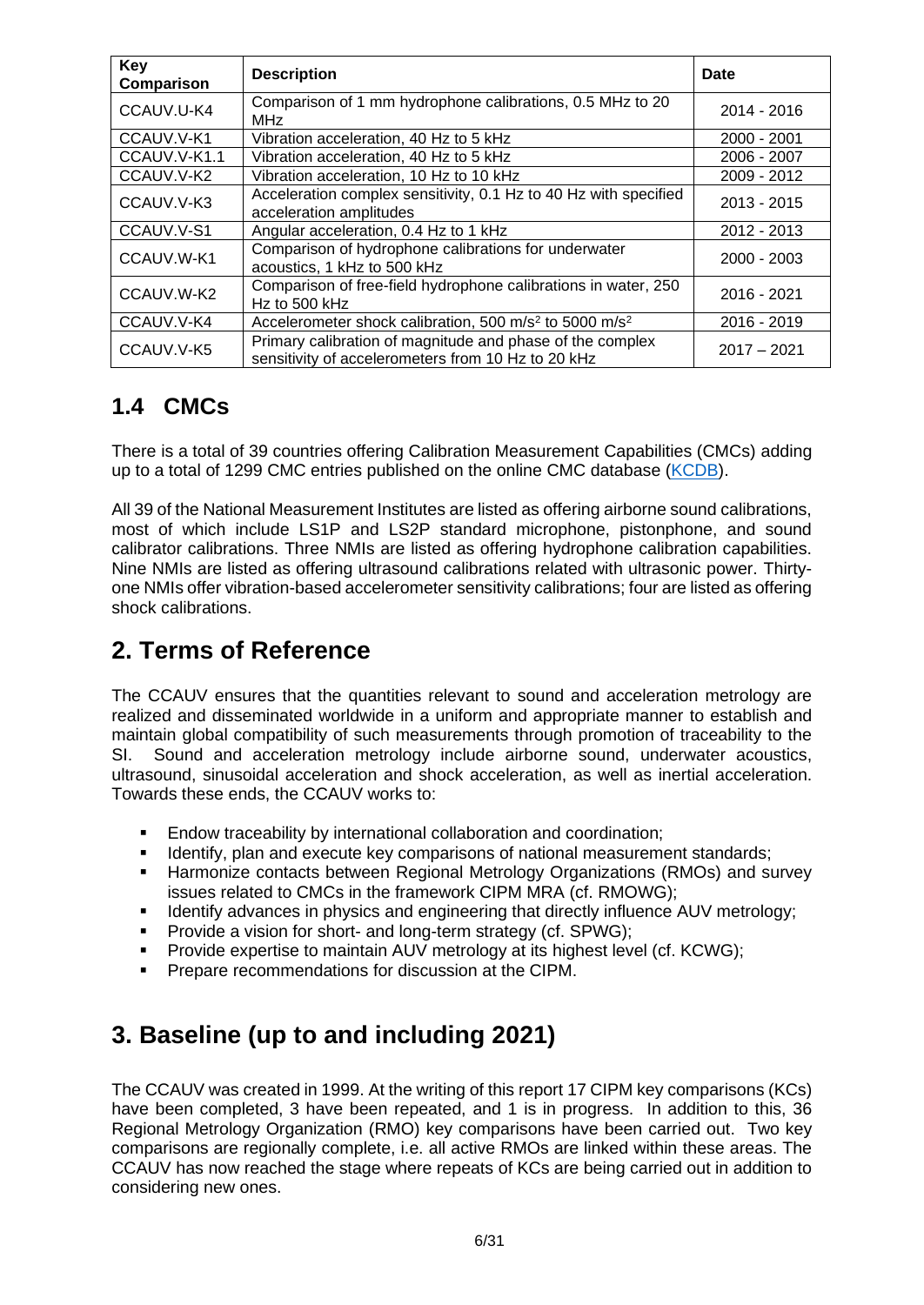| <b>Key</b><br>Comparison                                                                                                      | <b>Description</b>                                                                  | Date          |
|-------------------------------------------------------------------------------------------------------------------------------|-------------------------------------------------------------------------------------|---------------|
| CCAUV.U-K4                                                                                                                    | Comparison of 1 mm hydrophone calibrations, 0.5 MHz to 20<br><b>MHz</b>             | 2014 - 2016   |
| CCAUV.V-K1                                                                                                                    | Vibration acceleration, 40 Hz to 5 kHz                                              | 2000 - 2001   |
| CCAUV.V-K1.1                                                                                                                  | Vibration acceleration, 40 Hz to 5 kHz                                              | 2006 - 2007   |
| CCAUV.V-K2                                                                                                                    | Vibration acceleration, 10 Hz to 10 kHz                                             | 2009 - 2012   |
| Acceleration complex sensitivity, 0.1 Hz to 40 Hz with specified<br>CCAUV.V-K3<br>acceleration amplitudes                     |                                                                                     | $2013 - 2015$ |
| CCAUV.V-S1                                                                                                                    | Angular acceleration, 0.4 Hz to 1 kHz                                               | 2012 - 2013   |
| CCAUV.W-K1                                                                                                                    | Comparison of hydrophone calibrations for underwater<br>acoustics, 1 kHz to 500 kHz | $2000 - 2003$ |
| CCAUV.W-K2                                                                                                                    | Comparison of free-field hydrophone calibrations in water, 250<br>Hz to 500 kHz     | 2016 - 2021   |
| CCAUV.V-K4                                                                                                                    | Accelerometer shock calibration, 500 m/s <sup>2</sup> to 5000 m/s <sup>2</sup>      | $2016 - 2019$ |
| Primary calibration of magnitude and phase of the complex<br>CCAUV.V-K5<br>sensitivity of accelerometers from 10 Hz to 20 kHz |                                                                                     | $2017 - 2021$ |

# <span id="page-5-0"></span>**1.4 CMCs**

There is a total of 39 countries offering Calibration Measurement Capabilities (CMCs) adding up to a total of 1299 CMC entries published on the online CMC database [\(KCDB\)](https://www.bipm.org/kcdb/).

All 39 of the National Measurement Institutes are listed as offering airborne sound calibrations, most of which include LS1P and LS2P standard microphone, pistonphone, and sound calibrator calibrations. Three NMIs are listed as offering hydrophone calibration capabilities. Nine NMIs are listed as offering ultrasound calibrations related with ultrasonic power. Thirtyone NMIs offer vibration-based accelerometer sensitivity calibrations; four are listed as offering shock calibrations.

# <span id="page-5-1"></span>**2. Terms of Reference**

The CCAUV ensures that the quantities relevant to sound and acceleration metrology are realized and disseminated worldwide in a uniform and appropriate manner to establish and maintain global compatibility of such measurements through promotion of traceability to the SI. Sound and acceleration metrology include airborne sound, underwater acoustics, ultrasound, sinusoidal acceleration and shock acceleration, as well as inertial acceleration. Towards these ends, the CCAUV works to:

- **Endow traceability by international collaboration and coordination;**
- Identify, plan and execute key comparisons of national measurement standards;
- **E** Harmonize contacts between Regional Metrology Organizations (RMOs) and survey issues related to CMCs in the framework CIPM MRA (cf. RMOWG);
- **EXECT** Identify advances in physics and engineering that directly influence AUV metrology;
- Provide a vision for short- and long-term strategy (cf. SPWG);
- Provide expertise to maintain AUV metrology at its highest level (cf. KCWG);
- Prepare recommendations for discussion at the CIPM.

# <span id="page-5-2"></span>**3. Baseline (up to and including 2021)**

The CCAUV was created in 1999. At the writing of this report 17 CIPM key comparisons (KCs) have been completed, 3 have been repeated, and 1 is in progress. In addition to this, 36 Regional Metrology Organization (RMO) key comparisons have been carried out. Two key comparisons are regionally complete, i.e. all active RMOs are linked within these areas. The CCAUV has now reached the stage where repeats of KCs are being carried out in addition to considering new ones.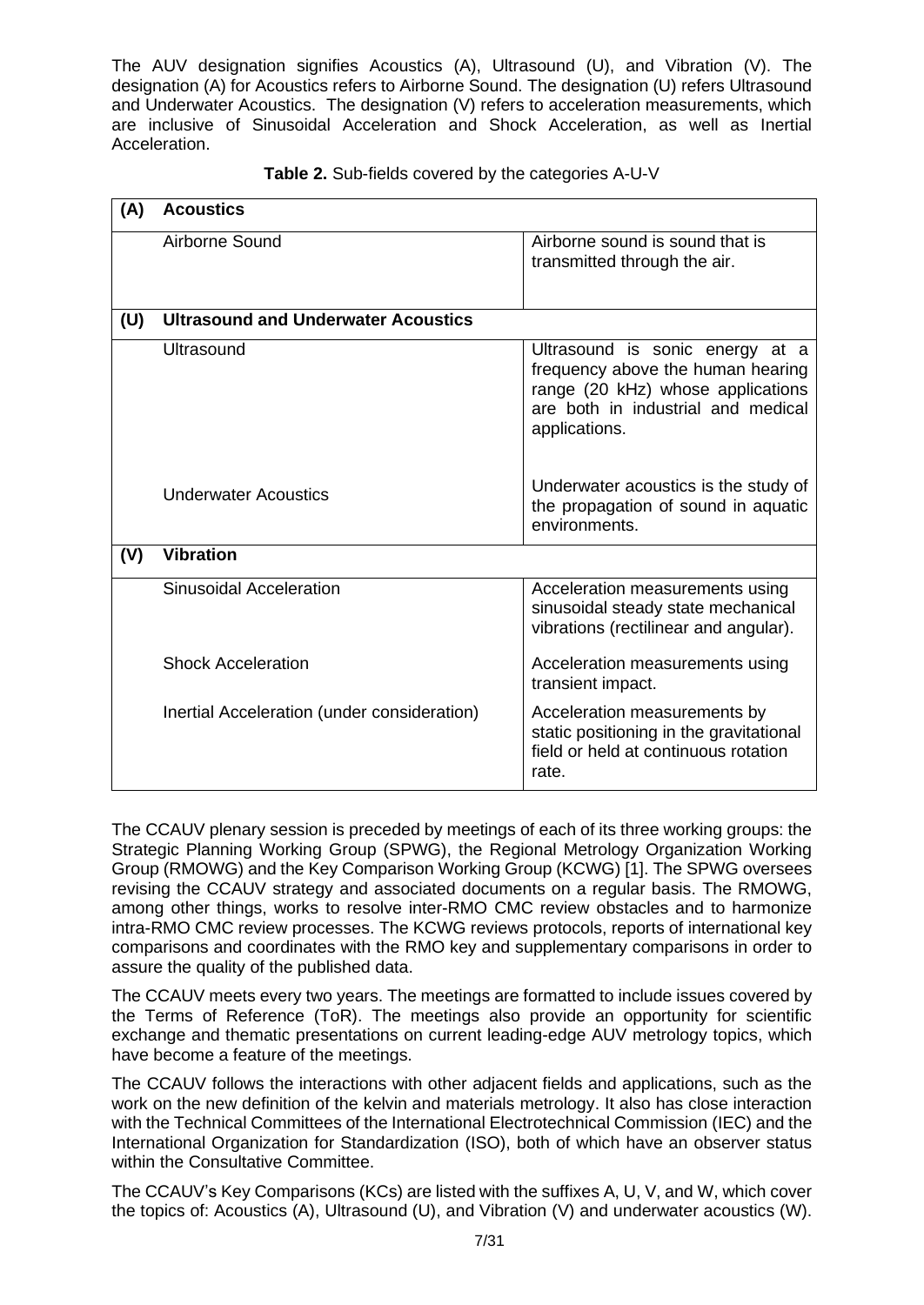The AUV designation signifies Acoustics (A), Ultrasound (U), and Vibration (V). The designation (A) for Acoustics refers to Airborne Sound. The designation (U) refers Ultrasound and Underwater Acoustics. The designation (V) refers to acceleration measurements, which are inclusive of Sinusoidal Acceleration and Shock Acceleration, as well as Inertial Acceleration.

| (A) | <b>Acoustics</b>                            |                                                                                                                                                                  |
|-----|---------------------------------------------|------------------------------------------------------------------------------------------------------------------------------------------------------------------|
|     | Airborne Sound                              | Airborne sound is sound that is<br>transmitted through the air.                                                                                                  |
| (U) | <b>Ultrasound and Underwater Acoustics</b>  |                                                                                                                                                                  |
|     | Ultrasound                                  | Ultrasound is sonic energy at a<br>frequency above the human hearing<br>range (20 kHz) whose applications<br>are both in industrial and medical<br>applications. |
|     | <b>Underwater Acoustics</b>                 | Underwater acoustics is the study of<br>the propagation of sound in aquatic<br>environments.                                                                     |
| (V) | <b>Vibration</b>                            |                                                                                                                                                                  |
|     | Sinusoidal Acceleration                     | Acceleration measurements using<br>sinusoidal steady state mechanical<br>vibrations (rectilinear and angular).                                                   |
|     | <b>Shock Acceleration</b>                   | Acceleration measurements using<br>transient impact.                                                                                                             |
|     | Inertial Acceleration (under consideration) | Acceleration measurements by<br>static positioning in the gravitational<br>field or held at continuous rotation<br>rate.                                         |

|  | Table 2. Sub-fields covered by the categories A-U-V |  |
|--|-----------------------------------------------------|--|
|  |                                                     |  |

The CCAUV plenary session is preceded by meetings of each of its three working groups: the Strategic Planning Working Group (SPWG), the Regional Metrology Organization Working Group (RMOWG) and the Key Comparison Working Group (KCWG) [1]. The SPWG oversees revising the CCAUV strategy and associated documents on a regular basis. The RMOWG, among other things, works to resolve inter-RMO CMC review obstacles and to harmonize intra-RMO CMC review processes. The KCWG reviews protocols, reports of international key comparisons and coordinates with the RMO key and supplementary comparisons in order to assure the quality of the published data.

The CCAUV meets every two years. The meetings are formatted to include issues covered by the Terms of Reference (ToR). The meetings also provide an opportunity for scientific exchange and thematic presentations on current leading-edge AUV metrology topics, which have become a feature of the meetings.

The CCAUV follows the interactions with other adjacent fields and applications, such as the work on the new definition of the kelvin and materials metrology. It also has close interaction with the Technical Committees of the International Electrotechnical Commission (IEC) and the International Organization for Standardization (ISO), both of which have an observer status within the Consultative Committee.

The CCAUV's Key Comparisons (KCs) are listed with the suffixes A, U, V, and W, which cover the topics of: Acoustics (A), Ultrasound (U), and Vibration (V) and underwater acoustics (W).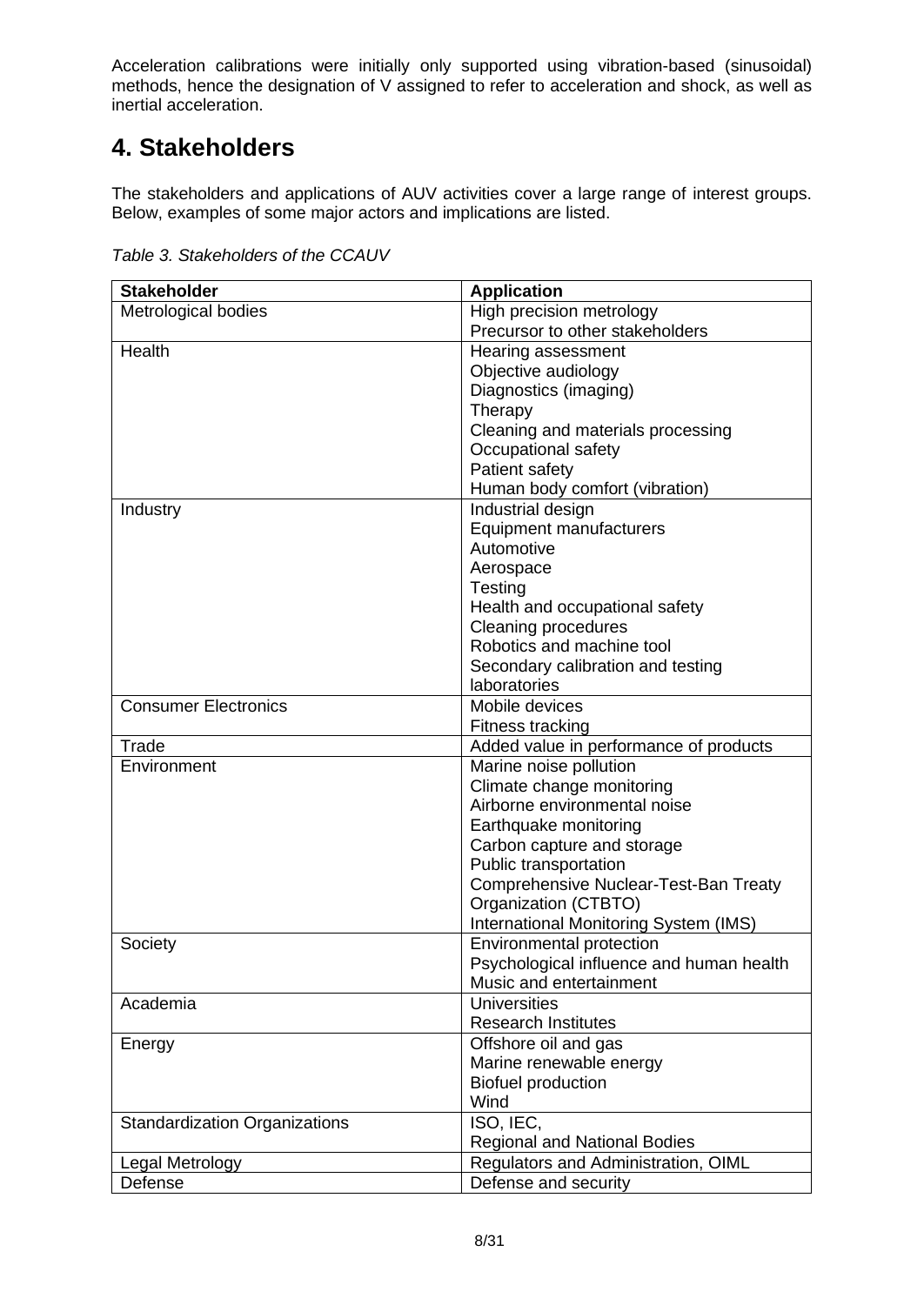Acceleration calibrations were initially only supported using vibration-based (sinusoidal) methods, hence the designation of V assigned to refer to acceleration and shock, as well as inertial acceleration.

# <span id="page-7-0"></span>**4. Stakeholders**

The stakeholders and applications of AUV activities cover a large range of interest groups. Below, examples of some major actors and implications are listed.

| <b>Stakeholder</b>                   | <b>Application</b>                                        |
|--------------------------------------|-----------------------------------------------------------|
| Metrological bodies                  | High precision metrology                                  |
|                                      | Precursor to other stakeholders                           |
| Health                               | Hearing assessment                                        |
|                                      | Objective audiology                                       |
|                                      | Diagnostics (imaging)                                     |
|                                      | Therapy                                                   |
|                                      | Cleaning and materials processing                         |
|                                      | Occupational safety                                       |
|                                      | Patient safety                                            |
|                                      | Human body comfort (vibration)                            |
| Industry                             | Industrial design                                         |
|                                      | Equipment manufacturers                                   |
|                                      | Automotive                                                |
|                                      | Aerospace                                                 |
|                                      | Testing                                                   |
|                                      | Health and occupational safety                            |
|                                      | <b>Cleaning procedures</b>                                |
|                                      | Robotics and machine tool                                 |
|                                      | Secondary calibration and testing                         |
|                                      | laboratories                                              |
| <b>Consumer Electronics</b>          | Mobile devices                                            |
|                                      | Fitness tracking                                          |
| Trade                                | Added value in performance of products                    |
| Environment                          | Marine noise pollution                                    |
|                                      |                                                           |
|                                      | Climate change monitoring<br>Airborne environmental noise |
|                                      |                                                           |
|                                      | Earthquake monitoring                                     |
|                                      | Carbon capture and storage                                |
|                                      | Public transportation                                     |
|                                      | Comprehensive Nuclear-Test-Ban Treaty                     |
|                                      | Organization (CTBTO)                                      |
|                                      | International Monitoring System (IMS)                     |
| Society                              | Environmental protection                                  |
|                                      | Psychological influence and human health                  |
|                                      | Music and entertainment                                   |
| Academia                             | <b>Universities</b>                                       |
|                                      | <b>Research Institutes</b>                                |
| Energy                               | Offshore oil and gas                                      |
|                                      | Marine renewable energy                                   |
|                                      | <b>Biofuel production</b>                                 |
|                                      | Wind                                                      |
| <b>Standardization Organizations</b> | ISO, IEC,                                                 |
|                                      | <b>Regional and National Bodies</b>                       |
| Legal Metrology                      | Regulators and Administration, OIML                       |
| Defense                              | Defense and security                                      |

*Table 3. Stakeholders of the CCAUV*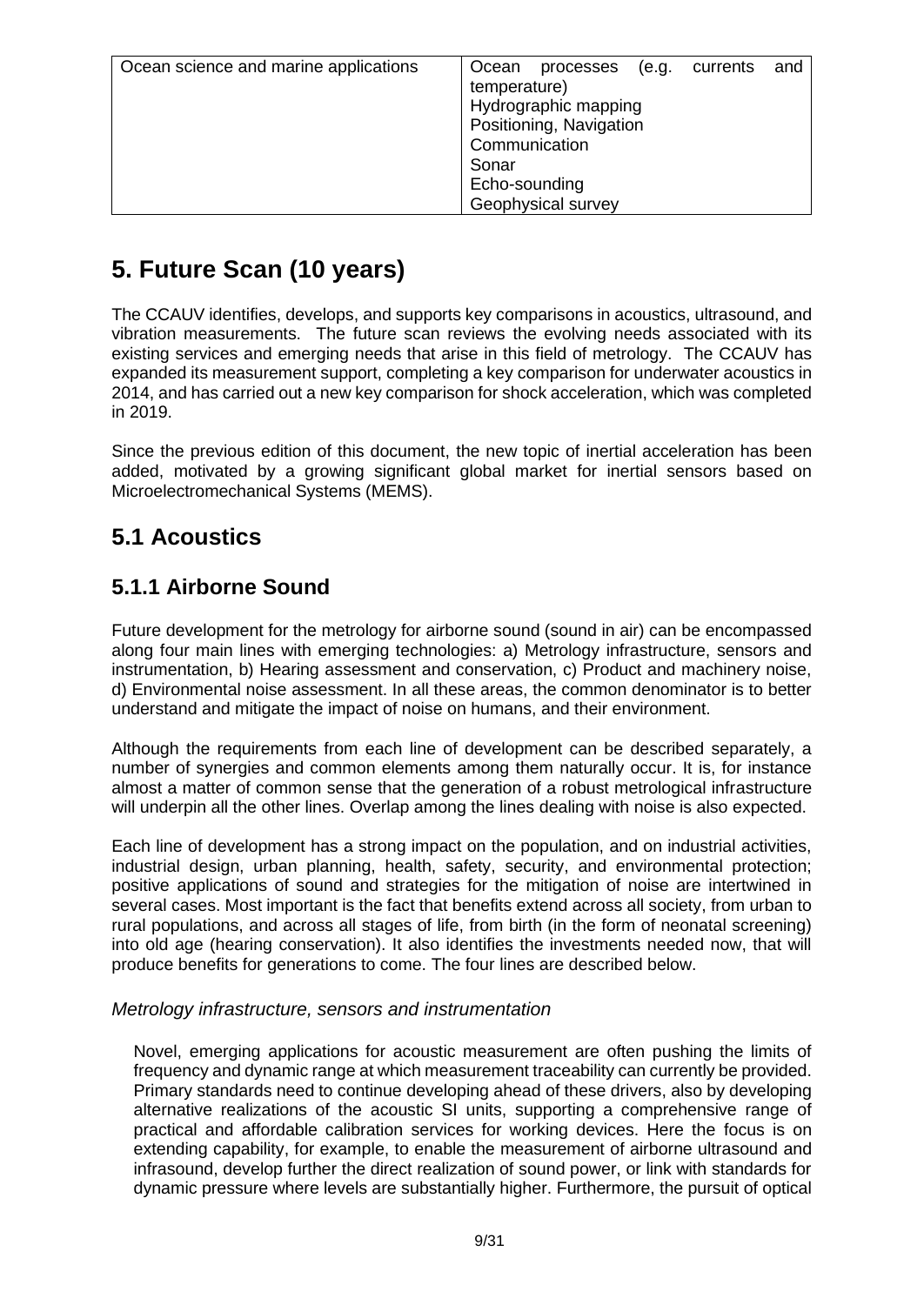| Ocean science and marine applications | Ocean<br>and<br>currents<br>processes<br>(e.q. |
|---------------------------------------|------------------------------------------------|
|                                       | temperature)                                   |
|                                       | Hydrographic mapping                           |
|                                       | Positioning, Navigation                        |
|                                       | Communication                                  |
|                                       | Sonar                                          |
|                                       | Echo-sounding                                  |
|                                       | Geophysical survey                             |

# <span id="page-8-0"></span>**5. Future Scan (10 years)**

The CCAUV identifies, develops, and supports key comparisons in acoustics, ultrasound, and vibration measurements. The future scan reviews the evolving needs associated with its existing services and emerging needs that arise in this field of metrology. The CCAUV has expanded its measurement support, completing a key comparison for underwater acoustics in 2014, and has carried out a new key comparison for shock acceleration, which was completed in 2019.

Since the previous edition of this document, the new topic of inertial acceleration has been added, motivated by a growing significant global market for inertial sensors based on Microelectromechanical Systems (MEMS).

## <span id="page-8-1"></span>**5.1 Acoustics**

### <span id="page-8-2"></span>**5.1.1 Airborne Sound**

Future development for the metrology for airborne sound (sound in air) can be encompassed along four main lines with emerging technologies: a) Metrology infrastructure, sensors and instrumentation, b) Hearing assessment and conservation, c) Product and machinery noise, d) Environmental noise assessment. In all these areas, the common denominator is to better understand and mitigate the impact of noise on humans, and their environment.

Although the requirements from each line of development can be described separately, a number of synergies and common elements among them naturally occur. It is, for instance almost a matter of common sense that the generation of a robust metrological infrastructure will underpin all the other lines. Overlap among the lines dealing with noise is also expected.

Each line of development has a strong impact on the population, and on industrial activities, industrial design, urban planning, health, safety, security, and environmental protection; positive applications of sound and strategies for the mitigation of noise are intertwined in several cases. Most important is the fact that benefits extend across all society, from urban to rural populations, and across all stages of life, from birth (in the form of neonatal screening) into old age (hearing conservation). It also identifies the investments needed now, that will produce benefits for generations to come. The four lines are described below.

#### <span id="page-8-3"></span>*Metrology infrastructure, sensors and instrumentation*

Novel, emerging applications for acoustic measurement are often pushing the limits of frequency and dynamic range at which measurement traceability can currently be provided. Primary standards need to continue developing ahead of these drivers, also by developing alternative realizations of the acoustic SI units, supporting a comprehensive range of practical and affordable calibration services for working devices. Here the focus is on extending capability, for example, to enable the measurement of airborne ultrasound and infrasound, develop further the direct realization of sound power, or link with standards for dynamic pressure where levels are substantially higher. Furthermore, the pursuit of optical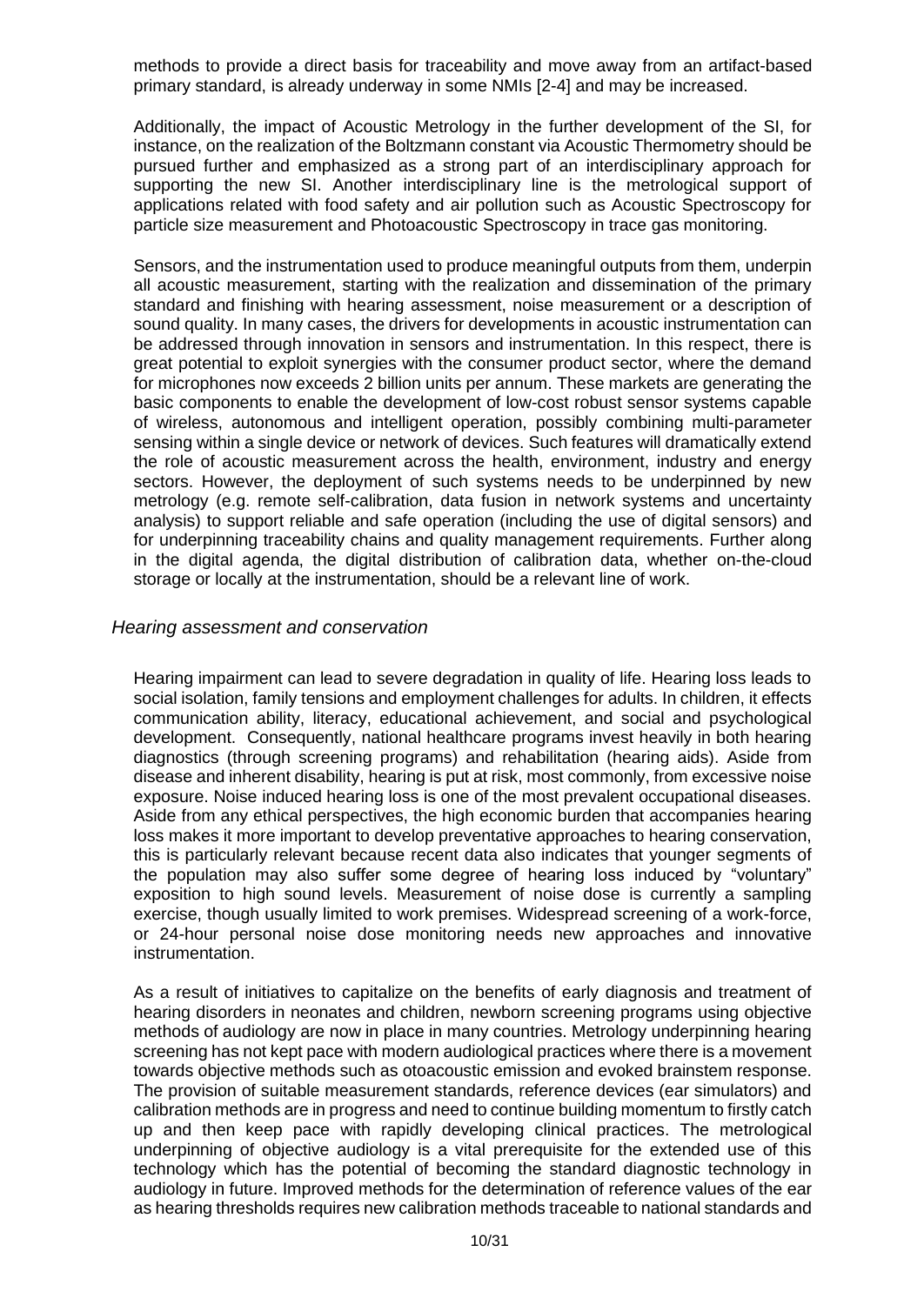methods to provide a direct basis for traceability and move away from an artifact-based primary standard, is already underway in some NMIs [2-4] and may be increased.

Additionally, the impact of Acoustic Metrology in the further development of the SI, for instance, on the realization of the Boltzmann constant via Acoustic Thermometry should be pursued further and emphasized as a strong part of an interdisciplinary approach for supporting the new SI. Another interdisciplinary line is the metrological support of applications related with food safety and air pollution such as Acoustic Spectroscopy for particle size measurement and Photoacoustic Spectroscopy in trace gas monitoring.

Sensors, and the instrumentation used to produce meaningful outputs from them, underpin all acoustic measurement, starting with the realization and dissemination of the primary standard and finishing with hearing assessment, noise measurement or a description of sound quality. In many cases, the drivers for developments in acoustic instrumentation can be addressed through innovation in sensors and instrumentation. In this respect, there is great potential to exploit synergies with the consumer product sector, where the demand for microphones now exceeds 2 billion units per annum. These markets are generating the basic components to enable the development of low-cost robust sensor systems capable of wireless, autonomous and intelligent operation, possibly combining multi-parameter sensing within a single device or network of devices. Such features will dramatically extend the role of acoustic measurement across the health, environment, industry and energy sectors. However, the deployment of such systems needs to be underpinned by new metrology (e.g. remote self-calibration, data fusion in network systems and uncertainty analysis) to support reliable and safe operation (including the use of digital sensors) and for underpinning traceability chains and quality management requirements. Further along in the digital agenda, the digital distribution of calibration data, whether on-the-cloud storage or locally at the instrumentation, should be a relevant line of work.

#### <span id="page-9-0"></span>*Hearing assessment and conservation*

Hearing impairment can lead to severe degradation in quality of life. Hearing loss leads to social isolation, family tensions and employment challenges for adults. In children, it effects communication ability, literacy, educational achievement, and social and psychological development. Consequently, national healthcare programs invest heavily in both hearing diagnostics (through screening programs) and rehabilitation (hearing aids). Aside from disease and inherent disability, hearing is put at risk, most commonly, from excessive noise exposure. Noise induced hearing loss is one of the most prevalent occupational diseases. Aside from any ethical perspectives, the high economic burden that accompanies hearing loss makes it more important to develop preventative approaches to hearing conservation, this is particularly relevant because recent data also indicates that younger segments of the population may also suffer some degree of hearing loss induced by "voluntary" exposition to high sound levels. Measurement of noise dose is currently a sampling exercise, though usually limited to work premises. Widespread screening of a work-force, or 24-hour personal noise dose monitoring needs new approaches and innovative instrumentation.

As a result of initiatives to capitalize on the benefits of early diagnosis and treatment of hearing disorders in neonates and children, newborn screening programs using objective methods of audiology are now in place in many countries. Metrology underpinning hearing screening has not kept pace with modern audiological practices where there is a movement towards objective methods such as otoacoustic emission and evoked brainstem response. The provision of suitable measurement standards, reference devices (ear simulators) and calibration methods are in progress and need to continue building momentum to firstly catch up and then keep pace with rapidly developing clinical practices. The metrological underpinning of objective audiology is a vital prerequisite for the extended use of this technology which has the potential of becoming the standard diagnostic technology in audiology in future. Improved methods for the determination of reference values of the ear as hearing thresholds requires new calibration methods traceable to national standards and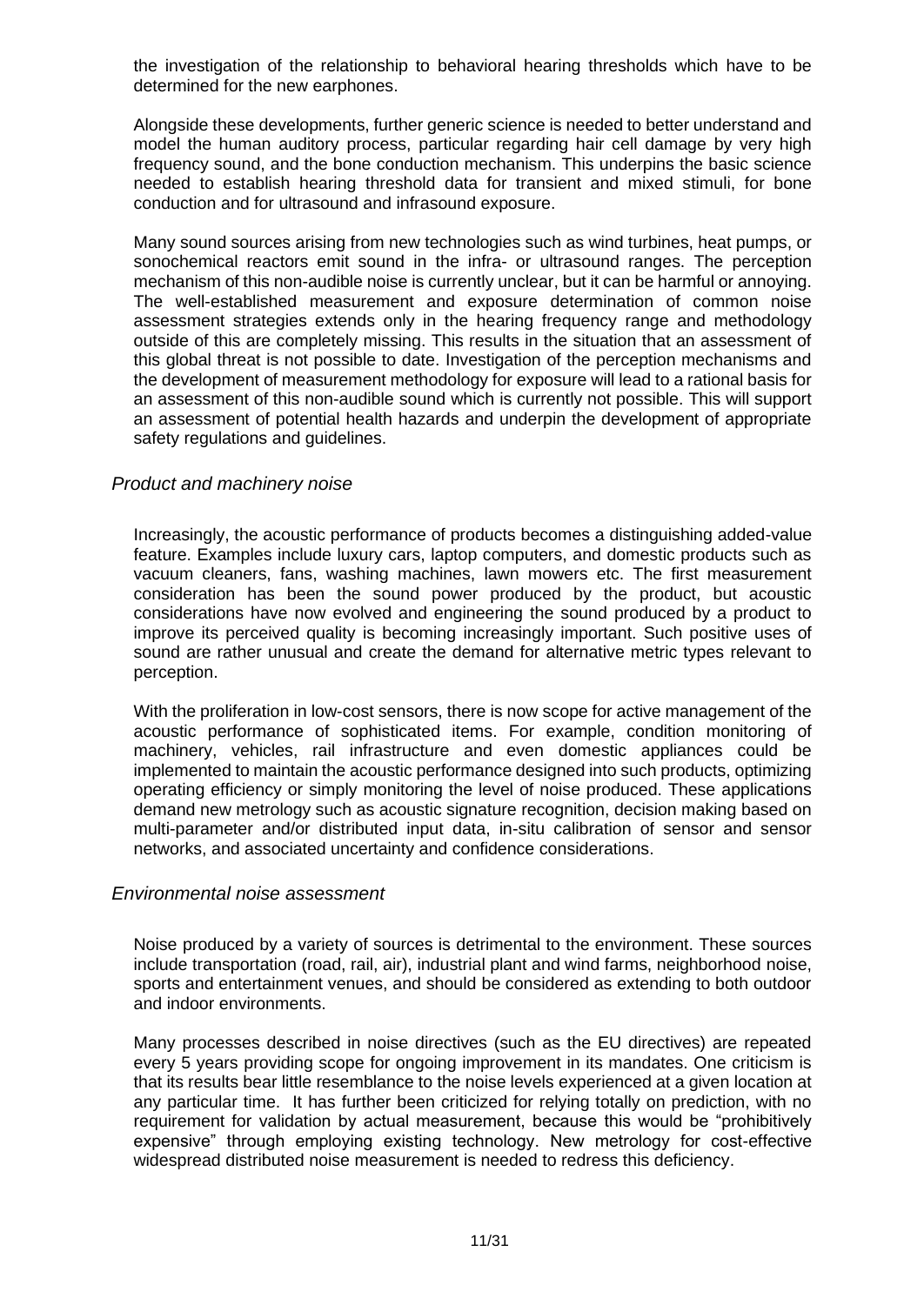the investigation of the relationship to behavioral hearing thresholds which have to be determined for the new earphones.

Alongside these developments, further generic science is needed to better understand and model the human auditory process, particular regarding hair cell damage by very high frequency sound, and the bone conduction mechanism. This underpins the basic science needed to establish hearing threshold data for transient and mixed stimuli, for bone conduction and for ultrasound and infrasound exposure.

Many sound sources arising from new technologies such as wind turbines, heat pumps, or sonochemical reactors emit sound in the infra- or ultrasound ranges. The perception mechanism of this non-audible noise is currently unclear, but it can be harmful or annoying. The well-established measurement and exposure determination of common noise assessment strategies extends only in the hearing frequency range and methodology outside of this are completely missing. This results in the situation that an assessment of this global threat is not possible to date. Investigation of the perception mechanisms and the development of measurement methodology for exposure will lead to a rational basis for an assessment of this non-audible sound which is currently not possible. This will support an assessment of potential health hazards and underpin the development of appropriate safety regulations and guidelines.

#### <span id="page-10-0"></span>*Product and machinery noise*

Increasingly, the acoustic performance of products becomes a distinguishing added-value feature. Examples include luxury cars, laptop computers, and domestic products such as vacuum cleaners, fans, washing machines, lawn mowers etc. The first measurement consideration has been the sound power produced by the product, but acoustic considerations have now evolved and engineering the sound produced by a product to improve its perceived quality is becoming increasingly important. Such positive uses of sound are rather unusual and create the demand for alternative metric types relevant to perception.

With the proliferation in low-cost sensors, there is now scope for active management of the acoustic performance of sophisticated items. For example, condition monitoring of machinery, vehicles, rail infrastructure and even domestic appliances could be implemented to maintain the acoustic performance designed into such products, optimizing operating efficiency or simply monitoring the level of noise produced. These applications demand new metrology such as acoustic signature recognition, decision making based on multi-parameter and/or distributed input data, in-situ calibration of sensor and sensor networks, and associated uncertainty and confidence considerations.

#### <span id="page-10-1"></span>*Environmental noise assessment*

Noise produced by a variety of sources is detrimental to the environment. These sources include transportation (road, rail, air), industrial plant and wind farms, neighborhood noise, sports and entertainment venues, and should be considered as extending to both outdoor and indoor environments.

Many processes described in noise directives (such as the EU directives) are repeated every 5 years providing scope for ongoing improvement in its mandates. One criticism is that its results bear little resemblance to the noise levels experienced at a given location at any particular time. It has further been criticized for relying totally on prediction, with no requirement for validation by actual measurement, because this would be "prohibitively expensive" through employing existing technology. New metrology for cost-effective widespread distributed noise measurement is needed to redress this deficiency.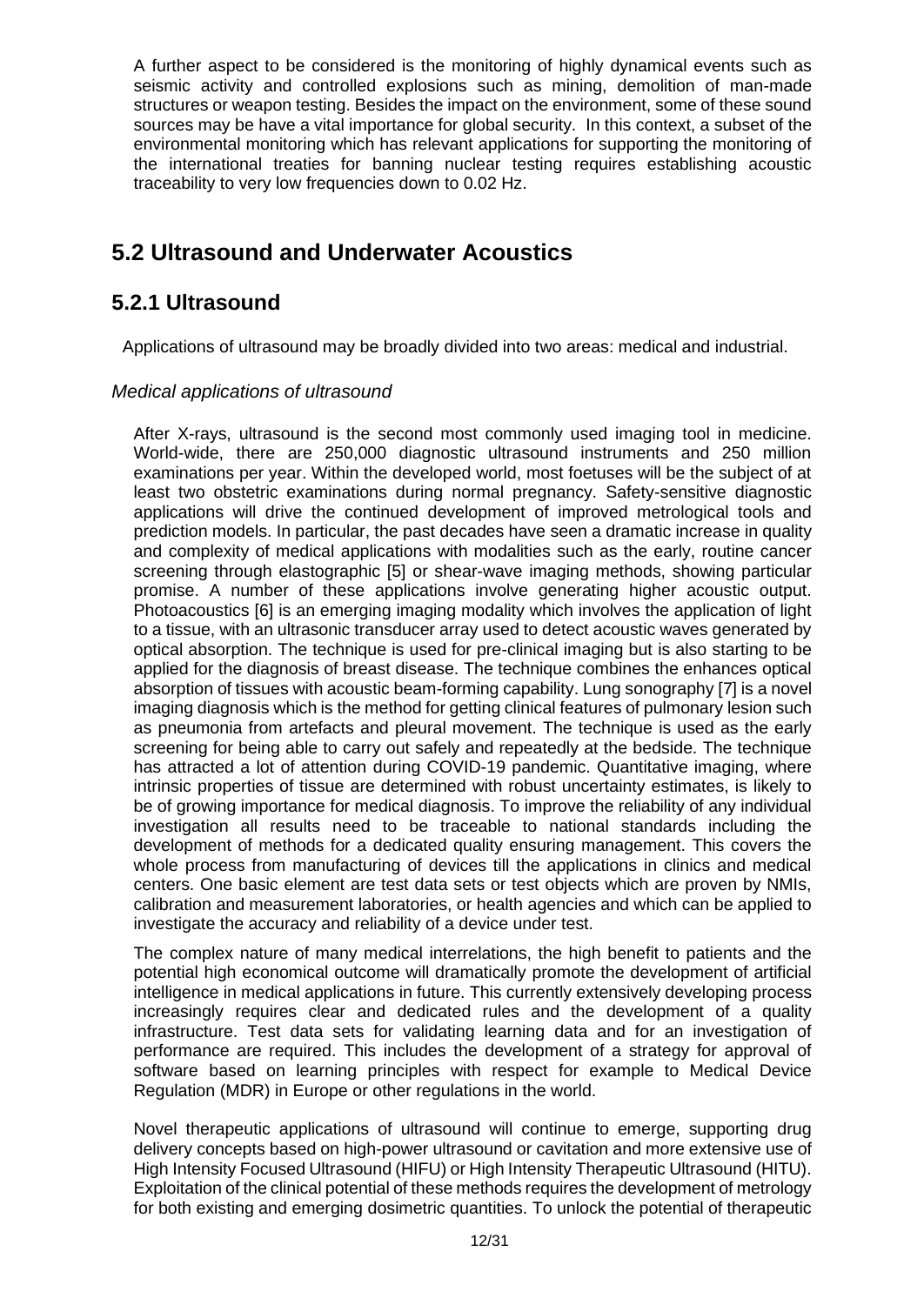A further aspect to be considered is the monitoring of highly dynamical events such as seismic activity and controlled explosions such as mining, demolition of man-made structures or weapon testing. Besides the impact on the environment, some of these sound sources may be have a vital importance for global security. In this context, a subset of the environmental monitoring which has relevant applications for supporting the monitoring of the international treaties for banning nuclear testing requires establishing acoustic traceability to very low frequencies down to 0.02 Hz.

## <span id="page-11-0"></span>**5.2 Ultrasound and Underwater Acoustics**

#### <span id="page-11-1"></span>**5.2.1 Ultrasound**

Applications of ultrasound may be broadly divided into two areas: medical and industrial.

#### <span id="page-11-2"></span>*Medical applications of ultrasound*

After X-rays, ultrasound is the second most commonly used imaging tool in medicine. World-wide, there are 250,000 diagnostic ultrasound instruments and 250 million examinations per year. Within the developed world, most foetuses will be the subject of at least two obstetric examinations during normal pregnancy. Safety-sensitive diagnostic applications will drive the continued development of improved metrological tools and prediction models. In particular, the past decades have seen a dramatic increase in quality and complexity of medical applications with modalities such as the early, routine cancer screening through elastographic [5] or shear-wave imaging methods, showing particular promise. A number of these applications involve generating higher acoustic output. Photoacoustics [6] is an emerging imaging modality which involves the application of light to a tissue, with an ultrasonic transducer array used to detect acoustic waves generated by optical absorption. The technique is used for pre-clinical imaging but is also starting to be applied for the diagnosis of breast disease. The technique combines the enhances optical absorption of tissues with acoustic beam-forming capability. Lung sonography [7] is a novel imaging diagnosis which is the method for getting clinical features of pulmonary lesion such as pneumonia from artefacts and pleural movement. The technique is used as the early screening for being able to carry out safely and repeatedly at the bedside. The technique has attracted a lot of attention during COVID-19 pandemic. Quantitative imaging, where intrinsic properties of tissue are determined with robust uncertainty estimates, is likely to be of growing importance for medical diagnosis. To improve the reliability of any individual investigation all results need to be traceable to national standards including the development of methods for a dedicated quality ensuring management. This covers the whole process from manufacturing of devices till the applications in clinics and medical centers. One basic element are test data sets or test objects which are proven by NMIs, calibration and measurement laboratories, or health agencies and which can be applied to investigate the accuracy and reliability of a device under test.

The complex nature of many medical interrelations, the high benefit to patients and the potential high economical outcome will dramatically promote the development of artificial intelligence in medical applications in future. This currently extensively developing process increasingly requires clear and dedicated rules and the development of a quality infrastructure. Test data sets for validating learning data and for an investigation of performance are required. This includes the development of a strategy for approval of software based on learning principles with respect for example to Medical Device Regulation (MDR) in Europe or other regulations in the world.

Novel therapeutic applications of ultrasound will continue to emerge, supporting drug delivery concepts based on high-power ultrasound or cavitation and more extensive use of High Intensity Focused Ultrasound (HIFU) or High Intensity Therapeutic Ultrasound (HITU). Exploitation of the clinical potential of these methods requires the development of metrology for both existing and emerging dosimetric quantities. To unlock the potential of therapeutic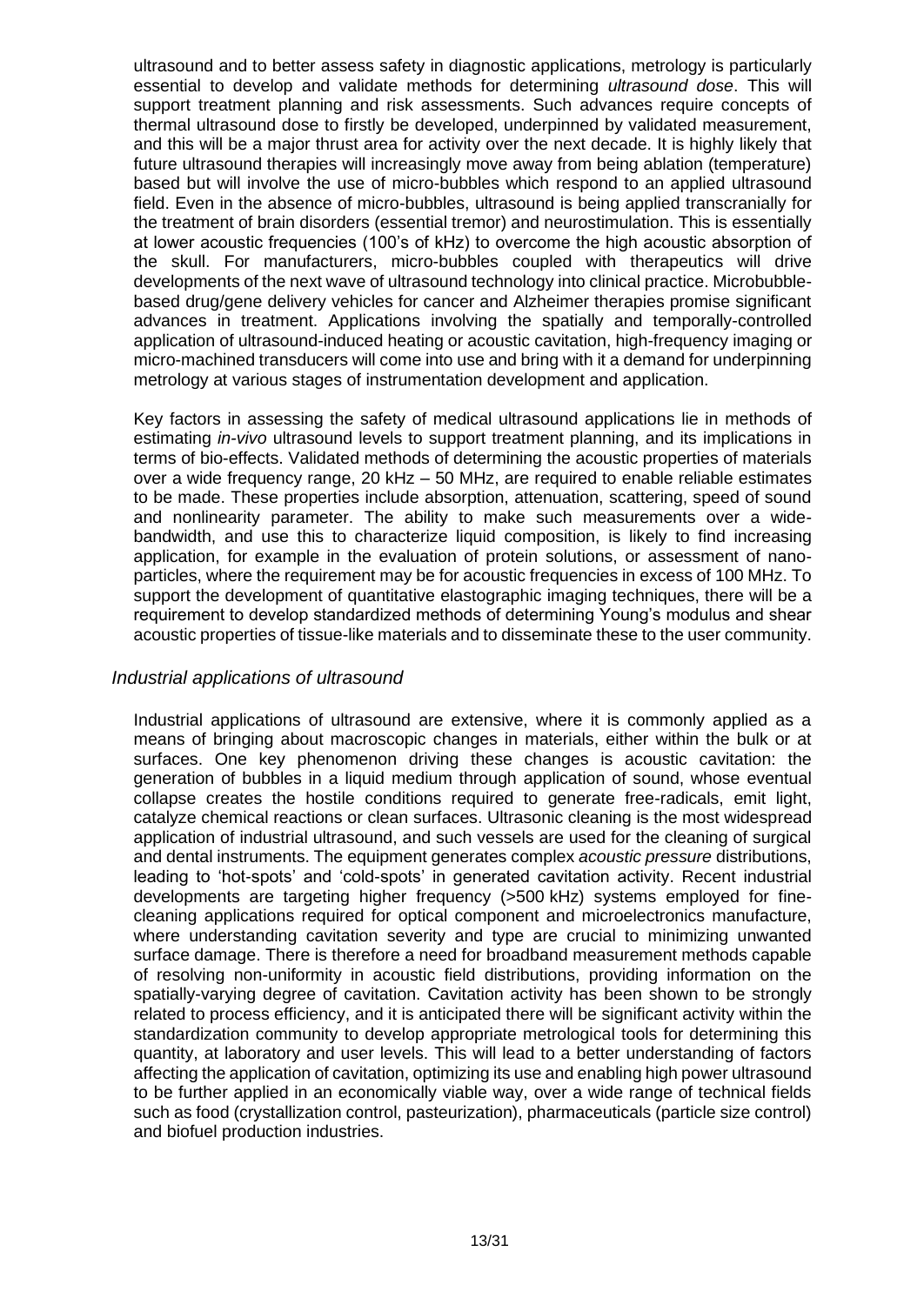ultrasound and to better assess safety in diagnostic applications, metrology is particularly essential to develop and validate methods for determining *ultrasound dose*. This will support treatment planning and risk assessments. Such advances require concepts of thermal ultrasound dose to firstly be developed, underpinned by validated measurement, and this will be a major thrust area for activity over the next decade. It is highly likely that future ultrasound therapies will increasingly move away from being ablation (temperature) based but will involve the use of micro-bubbles which respond to an applied ultrasound field. Even in the absence of micro-bubbles, ultrasound is being applied transcranially for the treatment of brain disorders (essential tremor) and neurostimulation. This is essentially at lower acoustic frequencies (100's of kHz) to overcome the high acoustic absorption of the skull. For manufacturers, micro-bubbles coupled with therapeutics will drive developments of the next wave of ultrasound technology into clinical practice. Microbubblebased drug/gene delivery vehicles for cancer and Alzheimer therapies promise significant advances in treatment. Applications involving the spatially and temporally-controlled application of ultrasound-induced heating or acoustic cavitation, high-frequency imaging or micro-machined transducers will come into use and bring with it a demand for underpinning metrology at various stages of instrumentation development and application.

Key factors in assessing the safety of medical ultrasound applications lie in methods of estimating *in-vivo* ultrasound levels to support treatment planning, and its implications in terms of bio-effects. Validated methods of determining the acoustic properties of materials over a wide frequency range, 20 kHz – 50 MHz, are required to enable reliable estimates to be made. These properties include absorption, attenuation, scattering, speed of sound and nonlinearity parameter. The ability to make such measurements over a widebandwidth, and use this to characterize liquid composition, is likely to find increasing application, for example in the evaluation of protein solutions, or assessment of nanoparticles, where the requirement may be for acoustic frequencies in excess of 100 MHz. To support the development of quantitative elastographic imaging techniques, there will be a requirement to develop standardized methods of determining Young's modulus and shear acoustic properties of tissue-like materials and to disseminate these to the user community.

#### <span id="page-12-0"></span>*Industrial applications of ultrasound*

Industrial applications of ultrasound are extensive, where it is commonly applied as a means of bringing about macroscopic changes in materials, either within the bulk or at surfaces. One key phenomenon driving these changes is acoustic cavitation: the generation of bubbles in a liquid medium through application of sound, whose eventual collapse creates the hostile conditions required to generate free-radicals, emit light, catalyze chemical reactions or clean surfaces. Ultrasonic cleaning is the most widespread application of industrial ultrasound, and such vessels are used for the cleaning of surgical and dental instruments. The equipment generates complex *acoustic pressure* distributions, leading to 'hot-spots' and 'cold-spots' in generated cavitation activity. Recent industrial developments are targeting higher frequency (>500 kHz) systems employed for finecleaning applications required for optical component and microelectronics manufacture, where understanding cavitation severity and type are crucial to minimizing unwanted surface damage. There is therefore a need for broadband measurement methods capable of resolving non-uniformity in acoustic field distributions, providing information on the spatially-varying degree of cavitation. Cavitation activity has been shown to be strongly related to process efficiency, and it is anticipated there will be significant activity within the standardization community to develop appropriate metrological tools for determining this quantity, at laboratory and user levels. This will lead to a better understanding of factors affecting the application of cavitation, optimizing its use and enabling high power ultrasound to be further applied in an economically viable way, over a wide range of technical fields such as food (crystallization control, pasteurization), pharmaceuticals (particle size control) and biofuel production industries.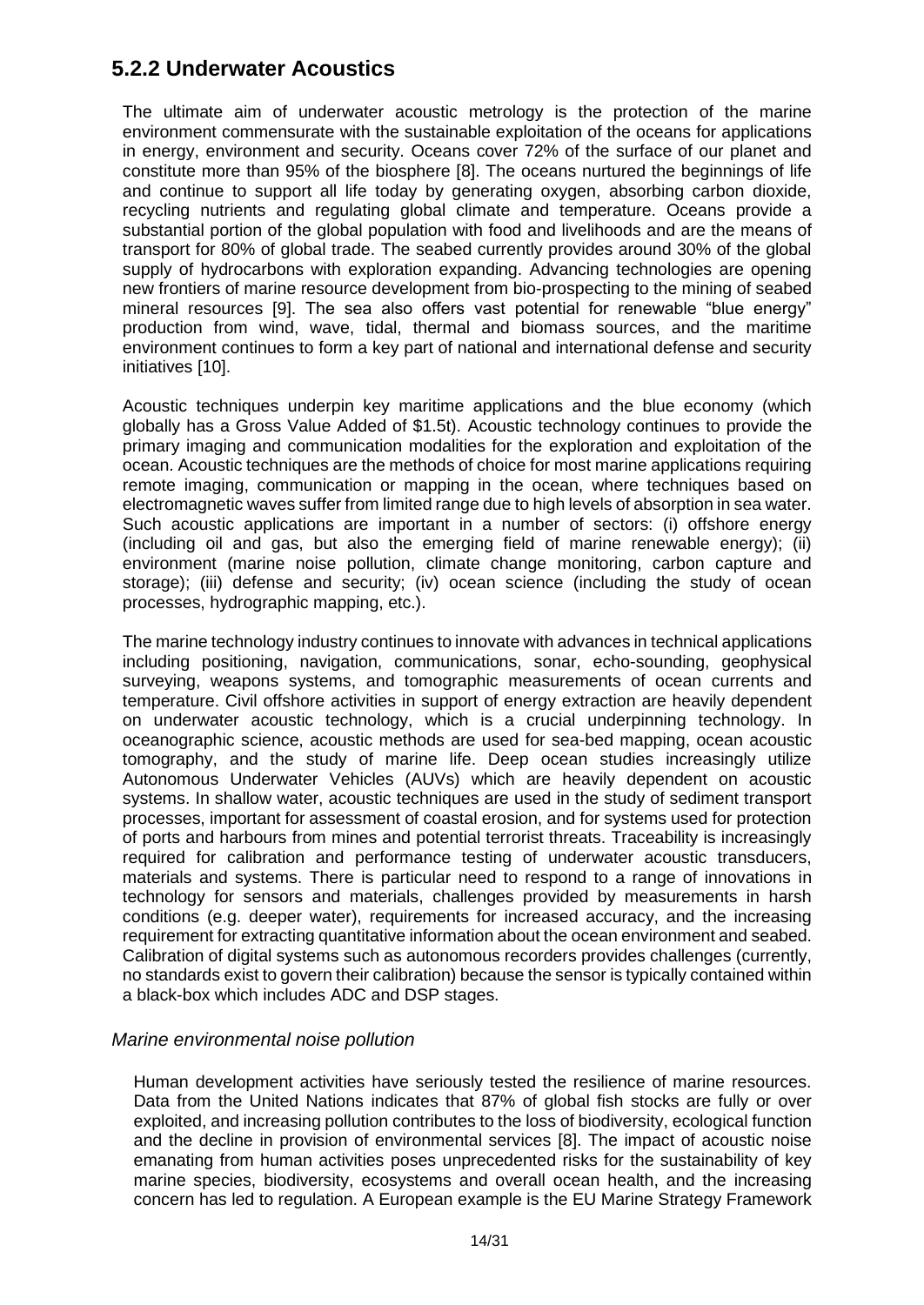### <span id="page-13-0"></span>**5.2.2 Underwater Acoustics**

The ultimate aim of underwater acoustic metrology is the protection of the marine environment commensurate with the sustainable exploitation of the oceans for applications in energy, environment and security. Oceans cover 72% of the surface of our planet and constitute more than 95% of the biosphere [8]. The oceans nurtured the beginnings of life and continue to support all life today by generating oxygen, absorbing carbon dioxide, recycling nutrients and regulating global climate and temperature. Oceans provide a substantial portion of the global population with food and livelihoods and are the means of transport for 80% of global trade. The seabed currently provides around 30% of the global supply of hydrocarbons with exploration expanding. Advancing technologies are opening new frontiers of marine resource development from bio-prospecting to the mining of seabed mineral resources [9]. The sea also offers vast potential for renewable "blue energy" production from wind, wave, tidal, thermal and biomass sources, and the maritime environment continues to form a key part of national and international defense and security initiatives [10].

Acoustic techniques underpin key maritime applications and the blue economy (which globally has a Gross Value Added of \$1.5t). Acoustic technology continues to provide the primary imaging and communication modalities for the exploration and exploitation of the ocean. Acoustic techniques are the methods of choice for most marine applications requiring remote imaging, communication or mapping in the ocean, where techniques based on electromagnetic waves suffer from limited range due to high levels of absorption in sea water. Such acoustic applications are important in a number of sectors: (i) offshore energy (including oil and gas, but also the emerging field of marine renewable energy); (ii) environment (marine noise pollution, climate change monitoring, carbon capture and storage); (iii) defense and security; (iv) ocean science (including the study of ocean processes, hydrographic mapping, etc.).

The marine technology industry continues to innovate with advances in technical applications including positioning, navigation, communications, sonar, echo-sounding, geophysical surveying, weapons systems, and tomographic measurements of ocean currents and temperature. Civil offshore activities in support of energy extraction are heavily dependent on underwater acoustic technology, which is a crucial underpinning technology. In oceanographic science, acoustic methods are used for sea-bed mapping, ocean acoustic tomography, and the study of marine life. Deep ocean studies increasingly utilize Autonomous Underwater Vehicles (AUVs) which are heavily dependent on acoustic systems. In shallow water, acoustic techniques are used in the study of sediment transport processes, important for assessment of coastal erosion, and for systems used for protection of ports and harbours from mines and potential terrorist threats. Traceability is increasingly required for calibration and performance testing of underwater acoustic transducers, materials and systems. There is particular need to respond to a range of innovations in technology for sensors and materials, challenges provided by measurements in harsh conditions (e.g. deeper water), requirements for increased accuracy, and the increasing requirement for extracting quantitative information about the ocean environment and seabed. Calibration of digital systems such as autonomous recorders provides challenges (currently, no standards exist to govern their calibration) because the sensor is typically contained within a black-box which includes ADC and DSP stages.

#### <span id="page-13-1"></span>*Marine environmental noise pollution*

Human development activities have seriously tested the resilience of marine resources. Data from the United Nations indicates that 87% of global fish stocks are fully or over exploited, and increasing pollution contributes to the loss of biodiversity, ecological function and the decline in provision of environmental services [8]. The impact of acoustic noise emanating from human activities poses unprecedented risks for the sustainability of key marine species, biodiversity, ecosystems and overall ocean health, and the increasing concern has led to regulation. A European example is the EU Marine Strategy Framework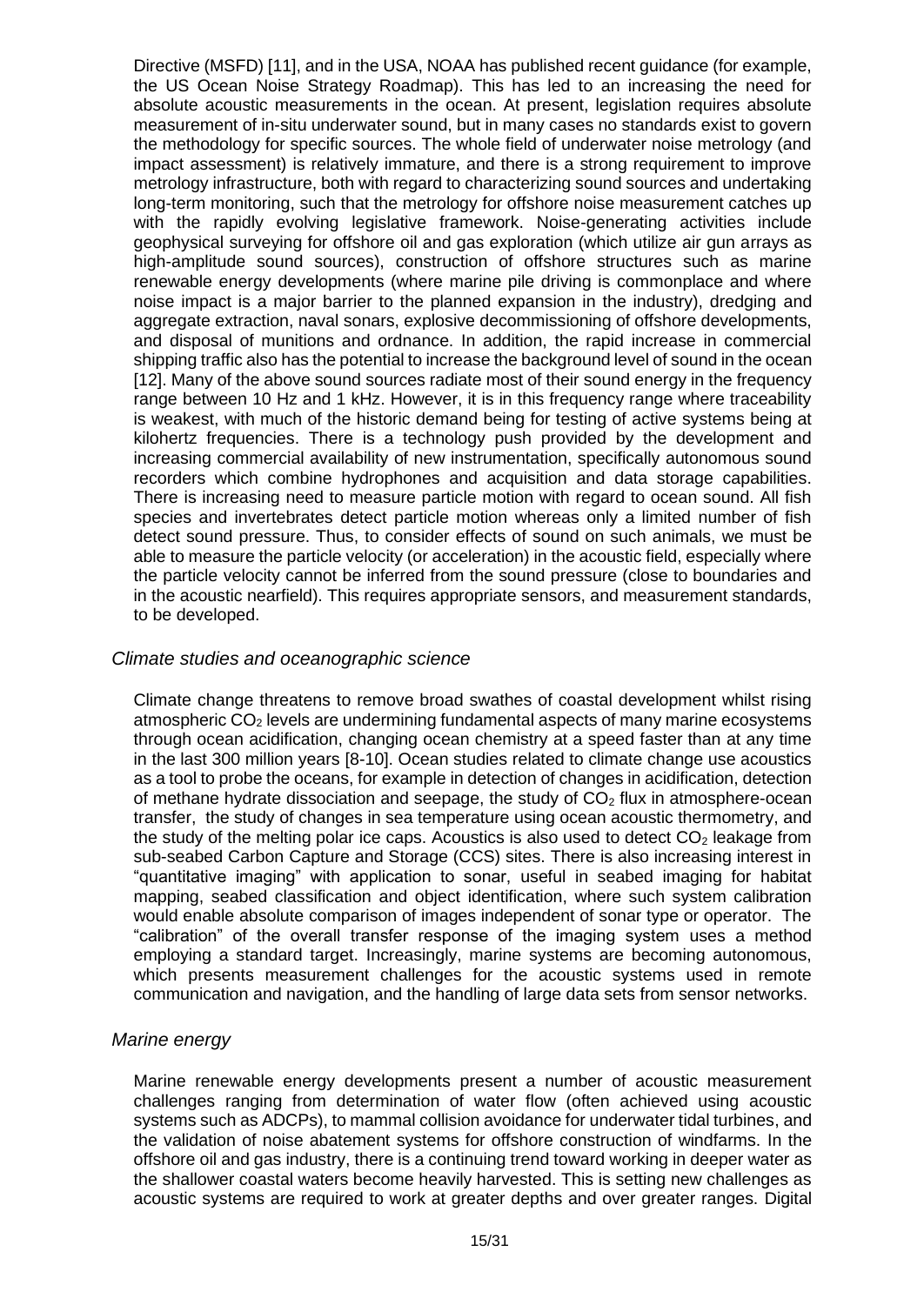Directive (MSFD) [11], and in the USA, NOAA has published recent guidance (for example, the US Ocean Noise Strategy Roadmap). This has led to an increasing the need for absolute acoustic measurements in the ocean. At present, legislation requires absolute measurement of in-situ underwater sound, but in many cases no standards exist to govern the methodology for specific sources. The whole field of underwater noise metrology (and impact assessment) is relatively immature, and there is a strong requirement to improve metrology infrastructure, both with regard to characterizing sound sources and undertaking long-term monitoring, such that the metrology for offshore noise measurement catches up with the rapidly evolving legislative framework. Noise-generating activities include geophysical surveying for offshore oil and gas exploration (which utilize air gun arrays as high-amplitude sound sources), construction of offshore structures such as marine renewable energy developments (where marine pile driving is commonplace and where noise impact is a major barrier to the planned expansion in the industry), dredging and aggregate extraction, naval sonars, explosive decommissioning of offshore developments, and disposal of munitions and ordnance. In addition, the rapid increase in commercial shipping traffic also has the potential to increase the background level of sound in the ocean [12]. Many of the above sound sources radiate most of their sound energy in the frequency range between 10 Hz and 1 kHz. However, it is in this frequency range where traceability is weakest, with much of the historic demand being for testing of active systems being at kilohertz frequencies. There is a technology push provided by the development and increasing commercial availability of new instrumentation, specifically autonomous sound recorders which combine hydrophones and acquisition and data storage capabilities. There is increasing need to measure particle motion with regard to ocean sound. All fish species and invertebrates detect particle motion whereas only a limited number of fish detect sound pressure. Thus, to consider effects of sound on such animals, we must be able to measure the particle velocity (or acceleration) in the acoustic field, especially where the particle velocity cannot be inferred from the sound pressure (close to boundaries and in the acoustic nearfield). This requires appropriate sensors, and measurement standards, to be developed.

#### <span id="page-14-0"></span>*Climate studies and oceanographic science*

Climate change threatens to remove broad swathes of coastal development whilst rising atmospheric  $CO<sub>2</sub>$  levels are undermining fundamental aspects of many marine ecosystems through ocean acidification, changing ocean chemistry at a speed faster than at any time in the last 300 million years [8-10]. Ocean studies related to climate change use acoustics as a tool to probe the oceans, for example in detection of changes in acidification, detection of methane hydrate dissociation and seepage, the study of  $CO<sub>2</sub>$  flux in atmosphere-ocean transfer, the study of changes in sea temperature using ocean acoustic thermometry, and the study of the melting polar ice caps. Acoustics is also used to detect  $CO<sub>2</sub>$  leakage from sub-seabed Carbon Capture and Storage (CCS) sites. There is also increasing interest in "quantitative imaging" with application to sonar, useful in seabed imaging for habitat mapping, seabed classification and object identification, where such system calibration would enable absolute comparison of images independent of sonar type or operator. The "calibration" of the overall transfer response of the imaging system uses a method employing a standard target. Increasingly, marine systems are becoming autonomous, which presents measurement challenges for the acoustic systems used in remote communication and navigation, and the handling of large data sets from sensor networks.

#### <span id="page-14-1"></span>*Marine energy*

Marine renewable energy developments present a number of acoustic measurement challenges ranging from determination of water flow (often achieved using acoustic systems such as ADCPs), to mammal collision avoidance for underwater tidal turbines, and the validation of noise abatement systems for offshore construction of windfarms. In the offshore oil and gas industry, there is a continuing trend toward working in deeper water as the shallower coastal waters become heavily harvested. This is setting new challenges as acoustic systems are required to work at greater depths and over greater ranges. Digital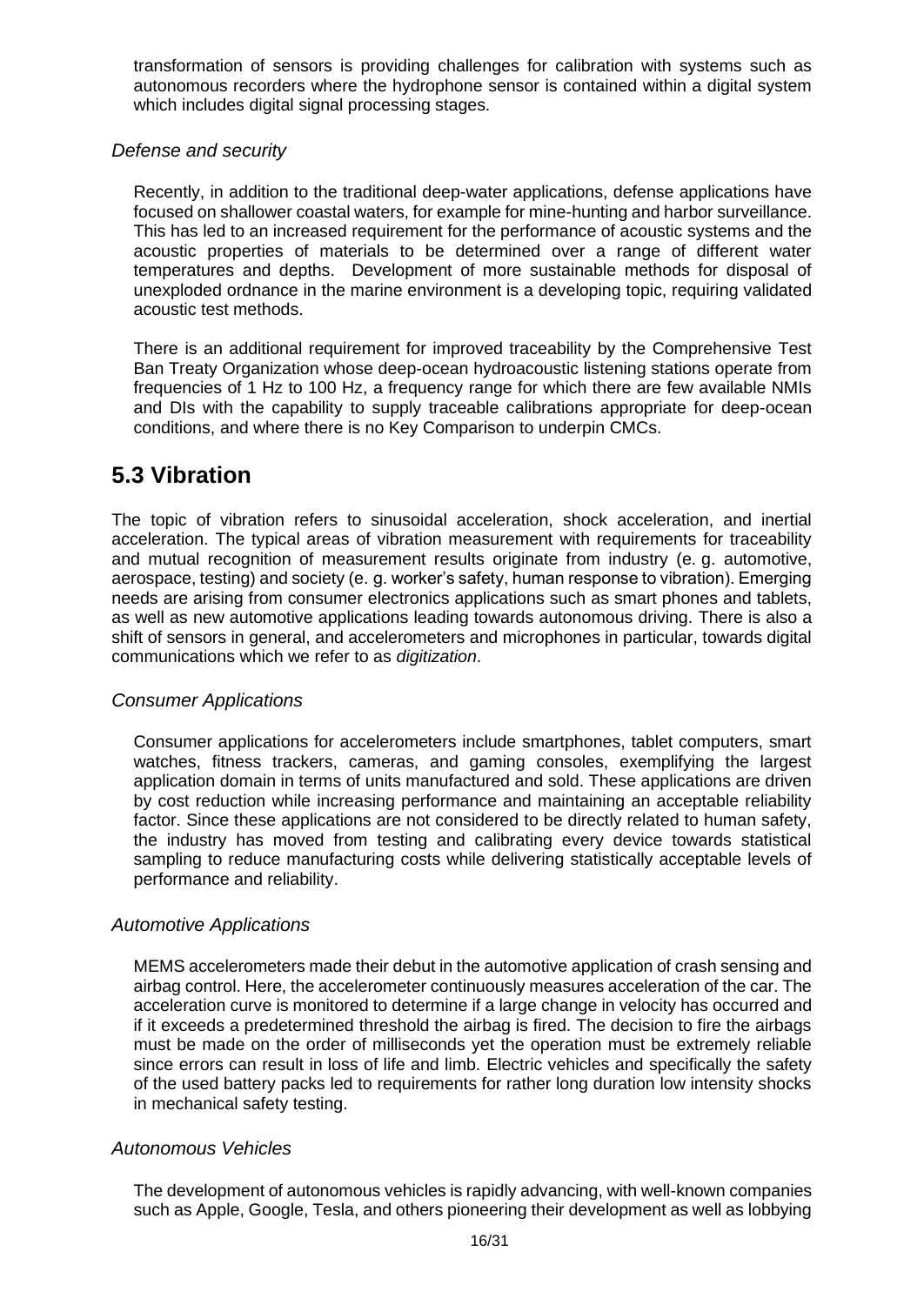transformation of sensors is providing challenges for calibration with systems such as autonomous recorders where the hydrophone sensor is contained within a digital system which includes digital signal processing stages.

#### <span id="page-15-0"></span>*Defense and security*

Recently, in addition to the traditional deep-water applications, defense applications have focused on shallower coastal waters, for example for mine-hunting and harbor surveillance. This has led to an increased requirement for the performance of acoustic systems and the acoustic properties of materials to be determined over a range of different water temperatures and depths. Development of more sustainable methods for disposal of unexploded ordnance in the marine environment is a developing topic, requiring validated acoustic test methods.

There is an additional requirement for improved traceability by the Comprehensive Test Ban Treaty Organization whose deep-ocean hydroacoustic listening stations operate from frequencies of 1 Hz to 100 Hz, a frequency range for which there are few available NMIs and DIs with the capability to supply traceable calibrations appropriate for deep-ocean conditions, and where there is no Key Comparison to underpin CMCs.

### <span id="page-15-1"></span>**5.3 Vibration**

The topic of vibration refers to sinusoidal acceleration, shock acceleration, and inertial acceleration. The typical areas of vibration measurement with requirements for traceability and mutual recognition of measurement results originate from industry (e. g. automotive, aerospace, testing) and society (e. g. worker's safety, human response to vibration). Emerging needs are arising from consumer electronics applications such as smart phones and tablets, as well as new automotive applications leading towards autonomous driving. There is also a shift of sensors in general, and accelerometers and microphones in particular, towards digital communications which we refer to as *digitization*.

#### <span id="page-15-2"></span>*Consumer Applications*

Consumer applications for accelerometers include smartphones, tablet computers, smart watches, fitness trackers, cameras, and gaming consoles, exemplifying the largest application domain in terms of units manufactured and sold. These applications are driven by cost reduction while increasing performance and maintaining an acceptable reliability factor. Since these applications are not considered to be directly related to human safety, the industry has moved from testing and calibrating every device towards statistical sampling to reduce manufacturing costs while delivering statistically acceptable levels of performance and reliability.

#### <span id="page-15-3"></span>*Automotive Applications*

MEMS accelerometers made their debut in the automotive application of crash sensing and airbag control. Here, the accelerometer continuously measures acceleration of the car. The acceleration curve is monitored to determine if a large change in velocity has occurred and if it exceeds a predetermined threshold the airbag is fired. The decision to fire the airbags must be made on the order of milliseconds yet the operation must be extremely reliable since errors can result in loss of life and limb. Electric vehicles and specifically the safety of the used battery packs led to requirements for rather long duration low intensity shocks in mechanical safety testing.

#### <span id="page-15-4"></span>*Autonomous Vehicles*

The development of autonomous vehicles is rapidly advancing, with well-known companies such as Apple, Google, Tesla, and others pioneering their development as well as lobbying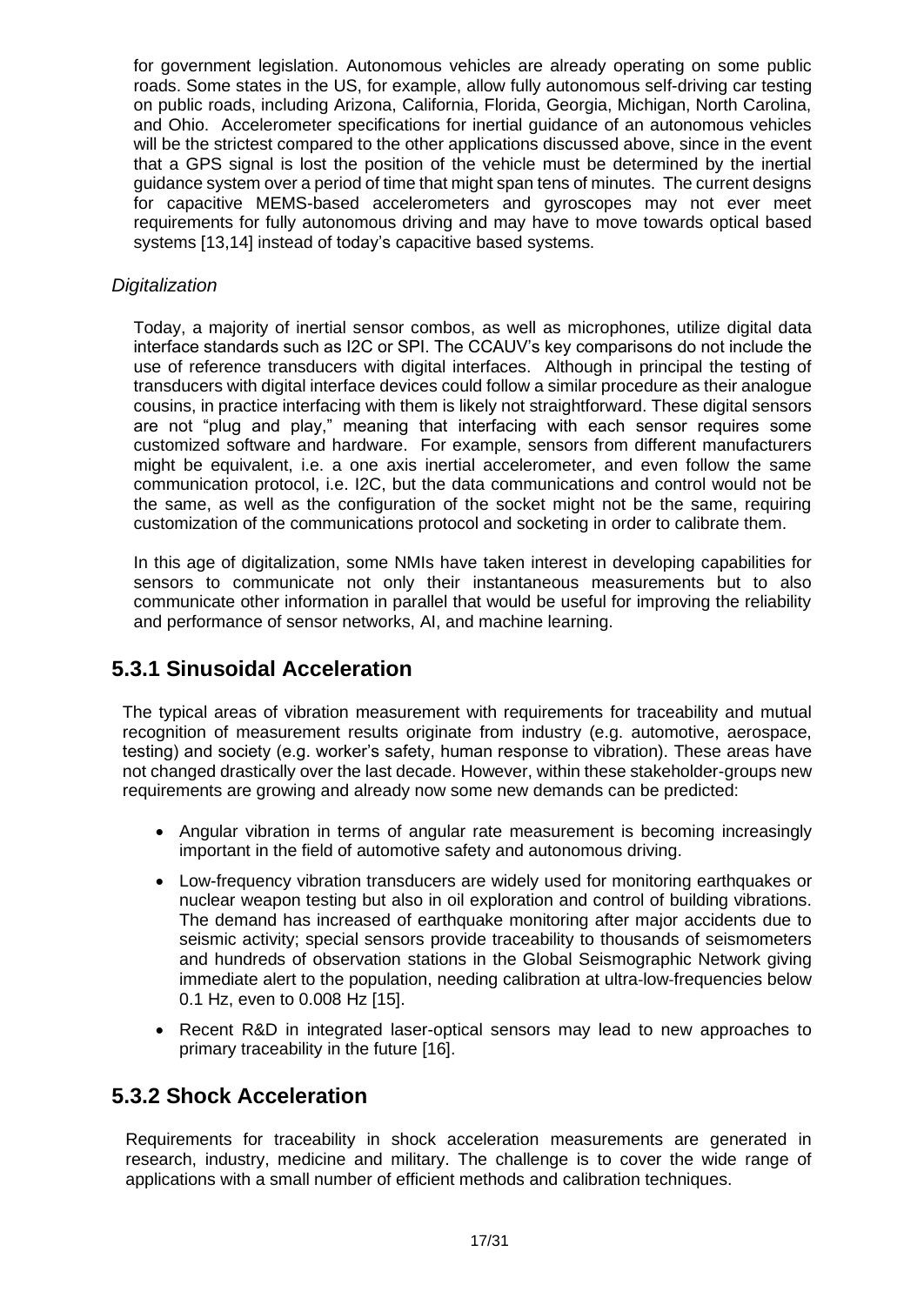for government legislation. Autonomous vehicles are already operating on some public roads. Some states in the US, for example, allow fully autonomous self-driving car testing on public roads, including Arizona, California, Florida, Georgia, Michigan, North Carolina, and Ohio. Accelerometer specifications for inertial guidance of an autonomous vehicles will be the strictest compared to the other applications discussed above, since in the event that a GPS signal is lost the position of the vehicle must be determined by the inertial guidance system over a period of time that might span tens of minutes. The current designs for capacitive MEMS-based accelerometers and gyroscopes may not ever meet requirements for fully autonomous driving and may have to move towards optical based systems [13,14] instead of today's capacitive based systems.

#### <span id="page-16-0"></span>*Digitalization*

Today, a majority of inertial sensor combos, as well as microphones, utilize digital data interface standards such as I2C or SPI. The CCAUV's key comparisons do not include the use of reference transducers with digital interfaces. Although in principal the testing of transducers with digital interface devices could follow a similar procedure as their analogue cousins, in practice interfacing with them is likely not straightforward. These digital sensors are not "plug and play," meaning that interfacing with each sensor requires some customized software and hardware. For example, sensors from different manufacturers might be equivalent, i.e. a one axis inertial accelerometer, and even follow the same communication protocol, i.e. I2C, but the data communications and control would not be the same, as well as the configuration of the socket might not be the same, requiring customization of the communications protocol and socketing in order to calibrate them.

In this age of digitalization, some NMIs have taken interest in developing capabilities for sensors to communicate not only their instantaneous measurements but to also communicate other information in parallel that would be useful for improving the reliability and performance of sensor networks, AI, and machine learning.

#### <span id="page-16-1"></span>**5.3.1 Sinusoidal Acceleration**

The typical areas of vibration measurement with requirements for traceability and mutual recognition of measurement results originate from industry (e.g. automotive, aerospace, testing) and society (e.g. worker's safety, human response to vibration). These areas have not changed drastically over the last decade. However, within these stakeholder-groups new requirements are growing and already now some new demands can be predicted:

- Angular vibration in terms of angular rate measurement is becoming increasingly important in the field of automotive safety and autonomous driving.
- Low-frequency vibration transducers are widely used for monitoring earthquakes or nuclear weapon testing but also in oil exploration and control of building vibrations. The demand has increased of earthquake monitoring after major accidents due to seismic activity; special sensors provide traceability to thousands of seismometers and hundreds of observation stations in the Global Seismographic Network giving immediate alert to the population, needing calibration at ultra‐low‐frequencies below 0.1 Hz, even to 0.008 Hz [15].
- Recent R&D in integrated laser-optical sensors may lead to new approaches to primary traceability in the future [16].

#### <span id="page-16-2"></span>**5.3.2 Shock Acceleration**

Requirements for traceability in shock acceleration measurements are generated in research, industry, medicine and military. The challenge is to cover the wide range of applications with a small number of efficient methods and calibration techniques.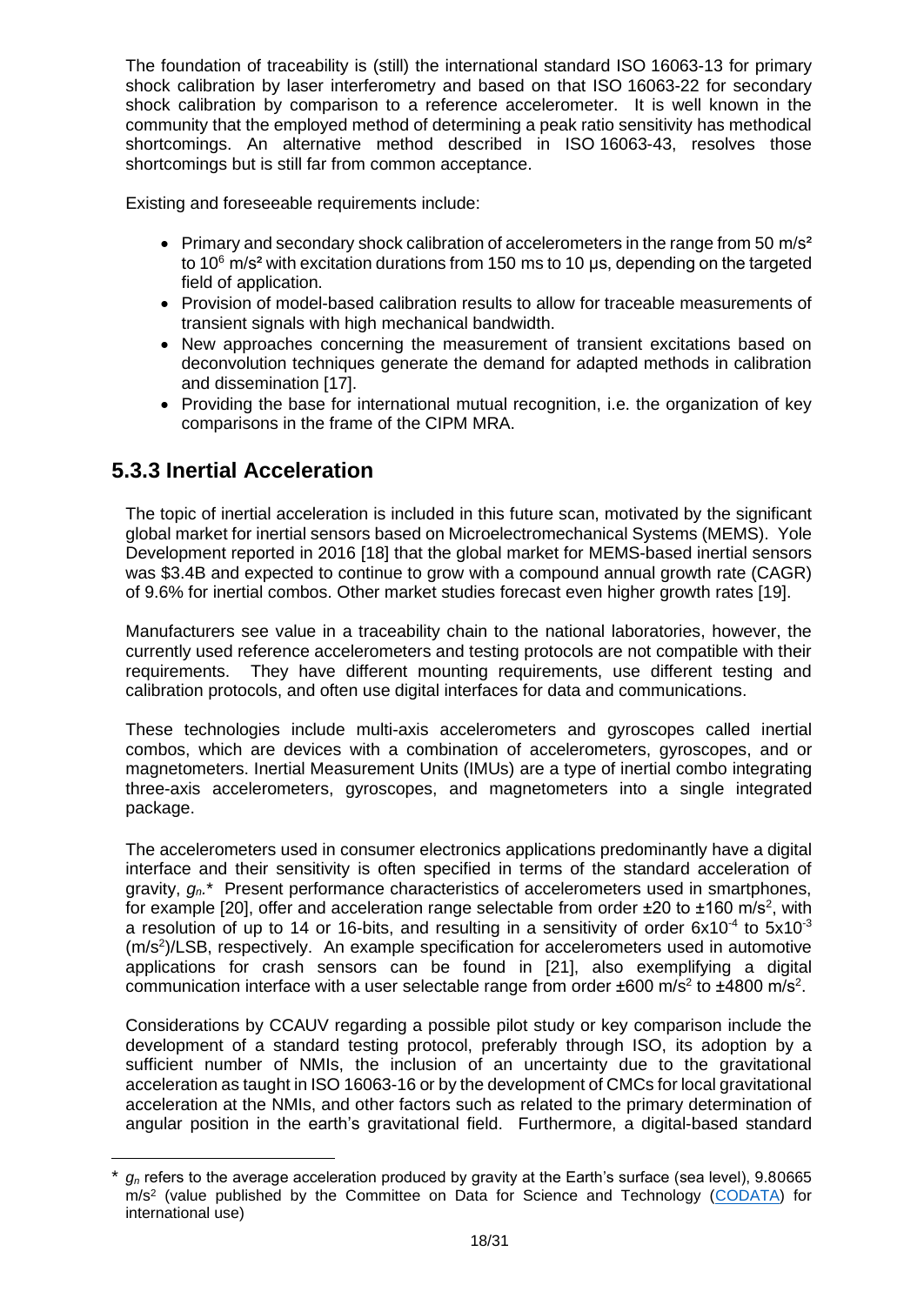The foundation of traceability is (still) the international standard ISO 16063-13 for primary shock calibration by laser interferometry and based on that ISO 16063-22 for secondary shock calibration by comparison to a reference accelerometer. It is well known in the community that the employed method of determining a peak ratio sensitivity has methodical shortcomings. An alternative method described in ISO 16063-43, resolves those shortcomings but is still far from common acceptance.

Existing and foreseeable requirements include:

- Primary and secondary shock calibration of accelerometers in the range from 50  $\text{m/s}^2$ to  $10^6$  m/s<sup>2</sup> with excitation durations from 150 ms to 10  $\mu$ s, depending on the targeted field of application.
- Provision of model-based calibration results to allow for traceable measurements of transient signals with high mechanical bandwidth.
- New approaches concerning the measurement of transient excitations based on deconvolution techniques generate the demand for adapted methods in calibration and dissemination [17].
- Providing the base for international mutual recognition, i.e. the organization of key comparisons in the frame of the CIPM MRA.

### <span id="page-17-0"></span>**5.3.3 Inertial Acceleration**

The topic of inertial acceleration is included in this future scan, motivated by the significant global market for inertial sensors based on Microelectromechanical Systems (MEMS). Yole Development reported in 2016 [18] that the global market for MEMS-based inertial sensors was \$3.4B and expected to continue to grow with a compound annual growth rate (CAGR) of 9.6% for inertial combos. Other market studies forecast even higher growth rates [19].

Manufacturers see value in a traceability chain to the national laboratories, however, the currently used reference accelerometers and testing protocols are not compatible with their requirements. They have different mounting requirements, use different testing and calibration protocols, and often use digital interfaces for data and communications.

These technologies include multi-axis accelerometers and gyroscopes called inertial combos, which are devices with a combination of accelerometers, gyroscopes, and or magnetometers. Inertial Measurement Units (IMUs) are a type of inertial combo integrating three-axis accelerometers, gyroscopes, and magnetometers into a single integrated package.

The accelerometers used in consumer electronics applications predominantly have a digital interface and their sensitivity is often specified in terms of the standard acceleration of gravity, *gn.*\* Present performance characteristics of accelerometers used in smartphones, for example [20], offer and acceleration range selectable from order  $\pm 20$  to  $\pm 160$  m/s<sup>2</sup>, with a resolution of up to 14 or 16-bits, and resulting in a sensitivity of order  $6x10^{-4}$  to  $5x10^{-3}$ (m/s<sup>2</sup>)/LSB, respectively. An example specification for accelerometers used in automotive applications for crash sensors can be found in [21], also exemplifying a digital communication interface with a user selectable range from order  $\pm 600$  m/s<sup>2</sup> to  $\pm 4800$  m/s<sup>2</sup>.

Considerations by CCAUV regarding a possible pilot study or key comparison include the development of a standard testing protocol, preferably through ISO, its adoption by a sufficient number of NMIs, the inclusion of an uncertainty due to the gravitational acceleration as taught in ISO 16063-16 or by the development of CMCs for local gravitational acceleration at the NMIs, and other factors such as related to the primary determination of angular position in the earth's gravitational field. Furthermore, a digital-based standard

 $g_n$  refers to the average acceleration produced by gravity at the Earth's surface (sea level), 9.80665 m/s<sup>2</sup> (value published by the Committee on Data for Science and Technology (CODATA) for international use)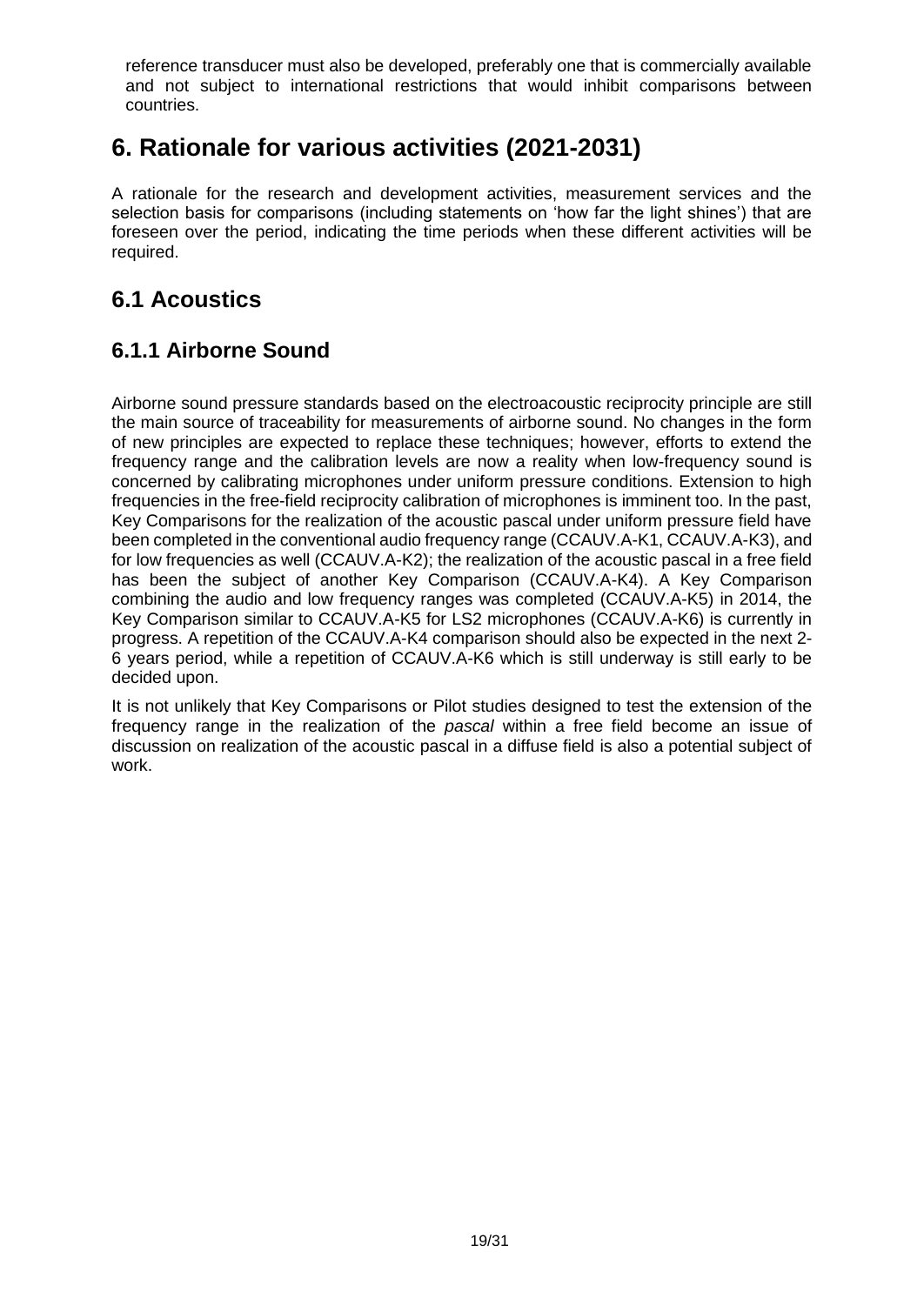reference transducer must also be developed, preferably one that is commercially available and not subject to international restrictions that would inhibit comparisons between countries.

# <span id="page-18-0"></span>**6. Rationale for various activities (2021-2031)**

A rationale for the research and development activities, measurement services and the selection basis for comparisons (including statements on 'how far the light shines') that are foreseen over the period, indicating the time periods when these different activities will be required.

## <span id="page-18-1"></span>**6.1 Acoustics**

### <span id="page-18-2"></span>**6.1.1 Airborne Sound**

Airborne sound pressure standards based on the electroacoustic reciprocity principle are still the main source of traceability for measurements of airborne sound. No changes in the form of new principles are expected to replace these techniques; however, efforts to extend the frequency range and the calibration levels are now a reality when low-frequency sound is concerned by calibrating microphones under uniform pressure conditions. Extension to high frequencies in the free-field reciprocity calibration of microphones is imminent too. In the past, Key Comparisons for the realization of the acoustic pascal under uniform pressure field have been completed in the conventional audio frequency range (CCAUV.A-K1, CCAUV.A-K3), and for low frequencies as well (CCAUV.A-K2); the realization of the acoustic pascal in a free field has been the subject of another Key Comparison (CCAUV.A-K4). A Key Comparison combining the audio and low frequency ranges was completed (CCAUV.A-K5) in 2014, the Key Comparison similar to CCAUV.A-K5 for LS2 microphones (CCAUV.A-K6) is currently in progress. A repetition of the CCAUV.A-K4 comparison should also be expected in the next 2- 6 years period, while a repetition of CCAUV.A-K6 which is still underway is still early to be decided upon.

It is not unlikely that Key Comparisons or Pilot studies designed to test the extension of the frequency range in the realization of the *pascal* within a free field become an issue of discussion on realization of the acoustic pascal in a diffuse field is also a potential subject of work.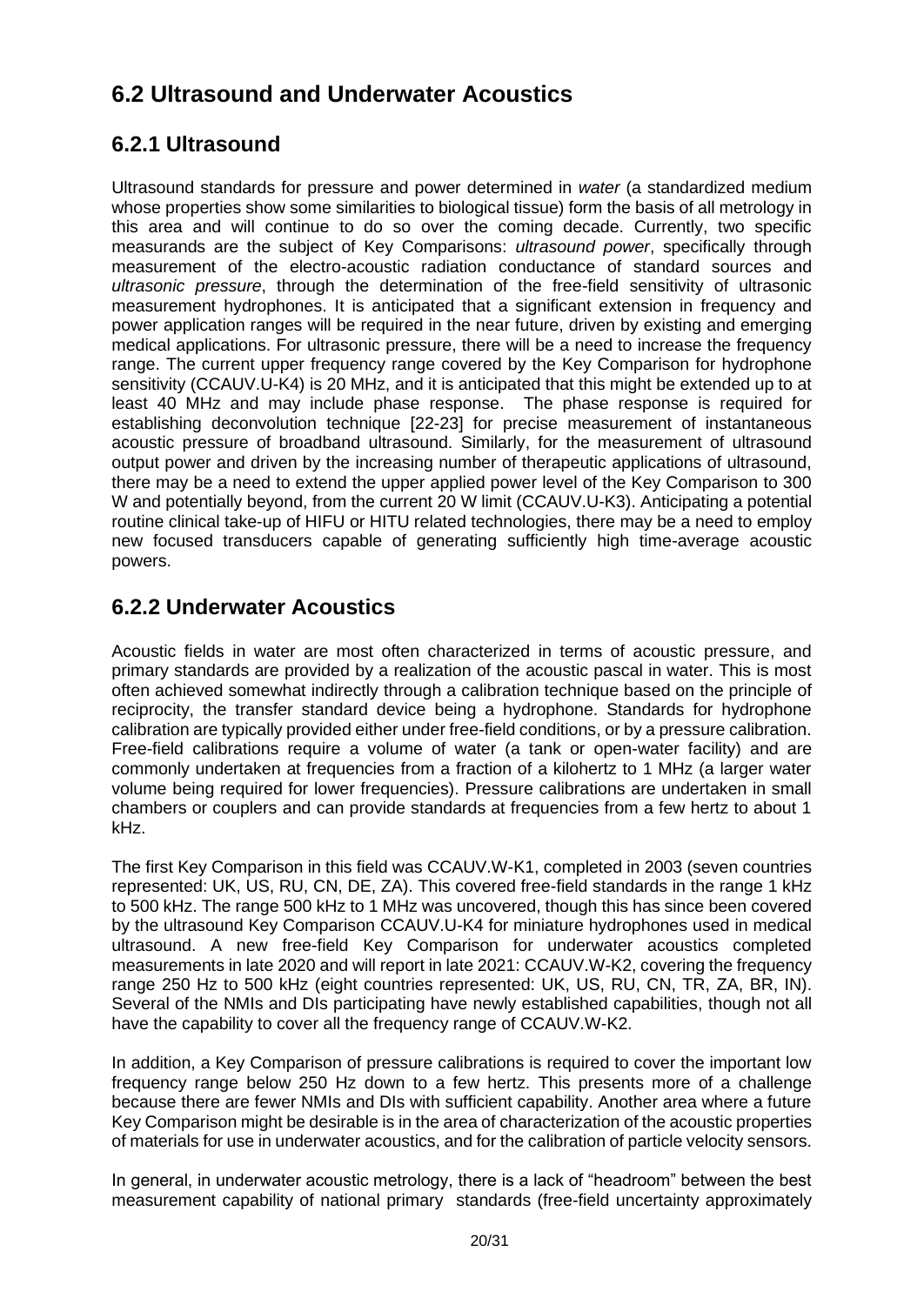## <span id="page-19-0"></span>**6.2 Ultrasound and Underwater Acoustics**

### <span id="page-19-1"></span>**6.2.1 Ultrasound**

Ultrasound standards for pressure and power determined in *water* (a standardized medium whose properties show some similarities to biological tissue) form the basis of all metrology in this area and will continue to do so over the coming decade. Currently, two specific measurands are the subject of Key Comparisons: *ultrasound power*, specifically through measurement of the electro-acoustic radiation conductance of standard sources and *ultrasonic pressure*, through the determination of the free-field sensitivity of ultrasonic measurement hydrophones. It is anticipated that a significant extension in frequency and power application ranges will be required in the near future, driven by existing and emerging medical applications. For ultrasonic pressure, there will be a need to increase the frequency range. The current upper frequency range covered by the Key Comparison for hydrophone sensitivity (CCAUV.U-K4) is 20 MHz, and it is anticipated that this might be extended up to at least 40 MHz and may include phase response. The phase response is required for establishing deconvolution technique [22-23] for precise measurement of instantaneous acoustic pressure of broadband ultrasound. Similarly, for the measurement of ultrasound output power and driven by the increasing number of therapeutic applications of ultrasound, there may be a need to extend the upper applied power level of the Key Comparison to 300 W and potentially beyond, from the current 20 W limit (CCAUV.U-K3). Anticipating a potential routine clinical take-up of HIFU or HITU related technologies, there may be a need to employ new focused transducers capable of generating sufficiently high time-average acoustic powers.

#### <span id="page-19-2"></span>**6.2.2 Underwater Acoustics**

Acoustic fields in water are most often characterized in terms of acoustic pressure, and primary standards are provided by a realization of the acoustic pascal in water. This is most often achieved somewhat indirectly through a calibration technique based on the principle of reciprocity, the transfer standard device being a hydrophone. Standards for hydrophone calibration are typically provided either under free-field conditions, or by a pressure calibration. Free-field calibrations require a volume of water (a tank or open-water facility) and are commonly undertaken at frequencies from a fraction of a kilohertz to 1 MHz (a larger water volume being required for lower frequencies). Pressure calibrations are undertaken in small chambers or couplers and can provide standards at frequencies from a few hertz to about 1 kHz.

The first Key Comparison in this field was CCAUV.W-K1, completed in 2003 (seven countries represented: UK, US, RU, CN, DE, ZA). This covered free-field standards in the range 1 kHz to 500 kHz. The range 500 kHz to 1 MHz was uncovered, though this has since been covered by the ultrasound Key Comparison CCAUV.U-K4 for miniature hydrophones used in medical ultrasound. A new free-field Key Comparison for underwater acoustics completed measurements in late 2020 and will report in late 2021: CCAUV.W-K2, covering the frequency range 250 Hz to 500 kHz (eight countries represented: UK, US, RU, CN, TR, ZA, BR, IN). Several of the NMIs and DIs participating have newly established capabilities, though not all have the capability to cover all the frequency range of CCAUV.W-K2.

In addition, a Key Comparison of pressure calibrations is required to cover the important low frequency range below 250 Hz down to a few hertz. This presents more of a challenge because there are fewer NMIs and DIs with sufficient capability. Another area where a future Key Comparison might be desirable is in the area of characterization of the acoustic properties of materials for use in underwater acoustics, and for the calibration of particle velocity sensors.

In general, in underwater acoustic metrology, there is a lack of "headroom" between the best measurement capability of national primary standards (free-field uncertainty approximately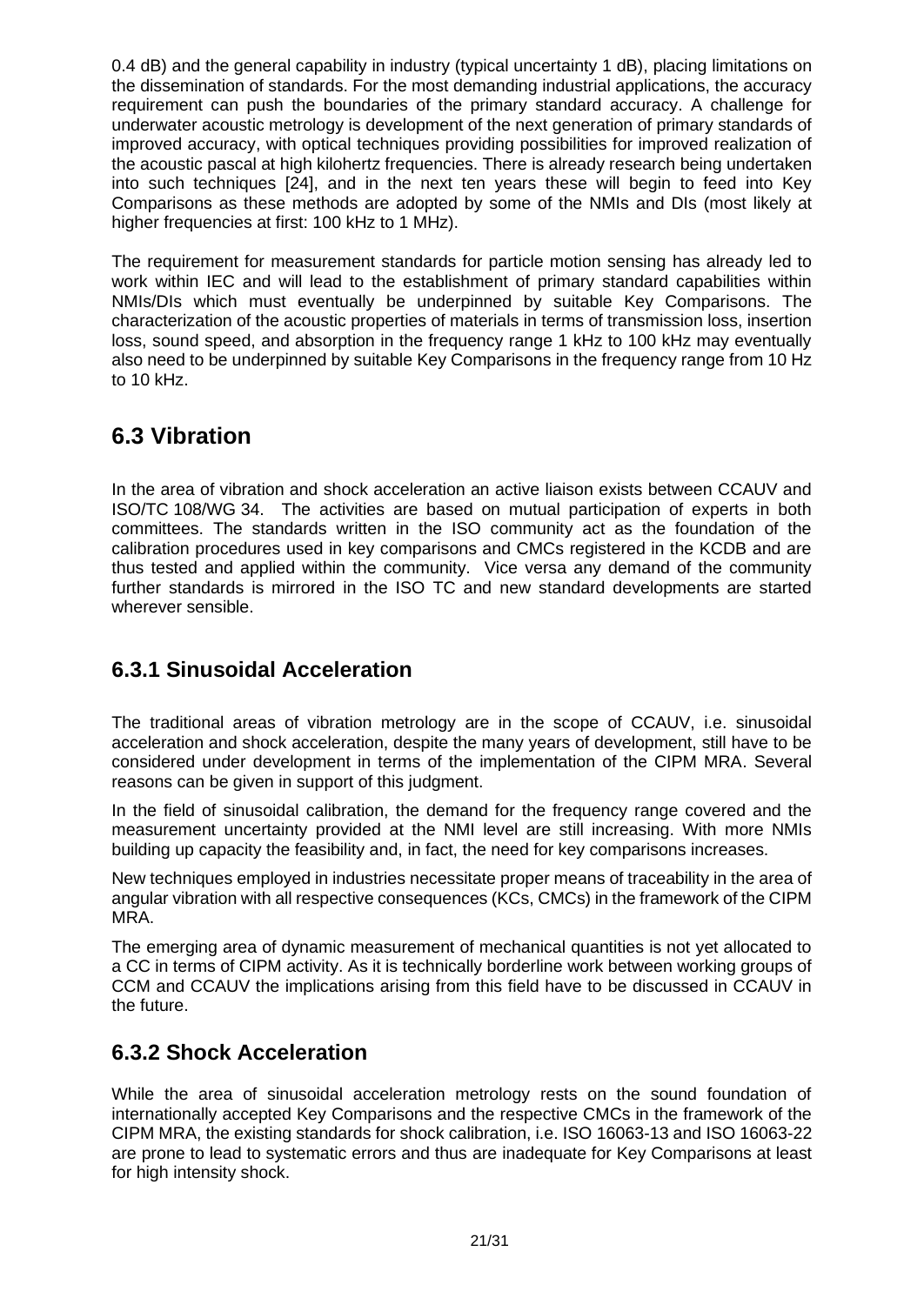0.4 dB) and the general capability in industry (typical uncertainty 1 dB), placing limitations on the dissemination of standards. For the most demanding industrial applications, the accuracy requirement can push the boundaries of the primary standard accuracy. A challenge for underwater acoustic metrology is development of the next generation of primary standards of improved accuracy, with optical techniques providing possibilities for improved realization of the acoustic pascal at high kilohertz frequencies. There is already research being undertaken into such techniques [24], and in the next ten years these will begin to feed into Key Comparisons as these methods are adopted by some of the NMIs and DIs (most likely at higher frequencies at first: 100 kHz to 1 MHz).

The requirement for measurement standards for particle motion sensing has already led to work within IEC and will lead to the establishment of primary standard capabilities within NMIs/DIs which must eventually be underpinned by suitable Key Comparisons. The characterization of the acoustic properties of materials in terms of transmission loss, insertion loss, sound speed, and absorption in the frequency range 1 kHz to 100 kHz may eventually also need to be underpinned by suitable Key Comparisons in the frequency range from 10 Hz to 10 kHz.

### <span id="page-20-0"></span>**6.3 Vibration**

In the area of vibration and shock acceleration an active liaison exists between CCAUV and ISO/TC 108/WG 34. The activities are based on mutual participation of experts in both committees. The standards written in the ISO community act as the foundation of the calibration procedures used in key comparisons and CMCs registered in the KCDB and are thus tested and applied within the community. Vice versa any demand of the community further standards is mirrored in the ISO TC and new standard developments are started wherever sensible.

### <span id="page-20-1"></span>**6.3.1 Sinusoidal Acceleration**

The traditional areas of vibration metrology are in the scope of CCAUV, i.e. sinusoidal acceleration and shock acceleration, despite the many years of development, still have to be considered under development in terms of the implementation of the CIPM MRA. Several reasons can be given in support of this judgment.

In the field of sinusoidal calibration, the demand for the frequency range covered and the measurement uncertainty provided at the NMI level are still increasing. With more NMIs building up capacity the feasibility and, in fact, the need for key comparisons increases.

New techniques employed in industries necessitate proper means of traceability in the area of angular vibration with all respective consequences (KCs, CMCs) in the framework of the CIPM MRA.

The emerging area of dynamic measurement of mechanical quantities is not yet allocated to a CC in terms of CIPM activity. As it is technically borderline work between working groups of CCM and CCAUV the implications arising from this field have to be discussed in CCAUV in the future.

### <span id="page-20-2"></span>**6.3.2 Shock Acceleration**

While the area of sinusoidal acceleration metrology rests on the sound foundation of internationally accepted Key Comparisons and the respective CMCs in the framework of the CIPM MRA, the existing standards for shock calibration, i.e. ISO 16063-13 and ISO 16063-22 are prone to lead to systematic errors and thus are inadequate for Key Comparisons at least for high intensity shock.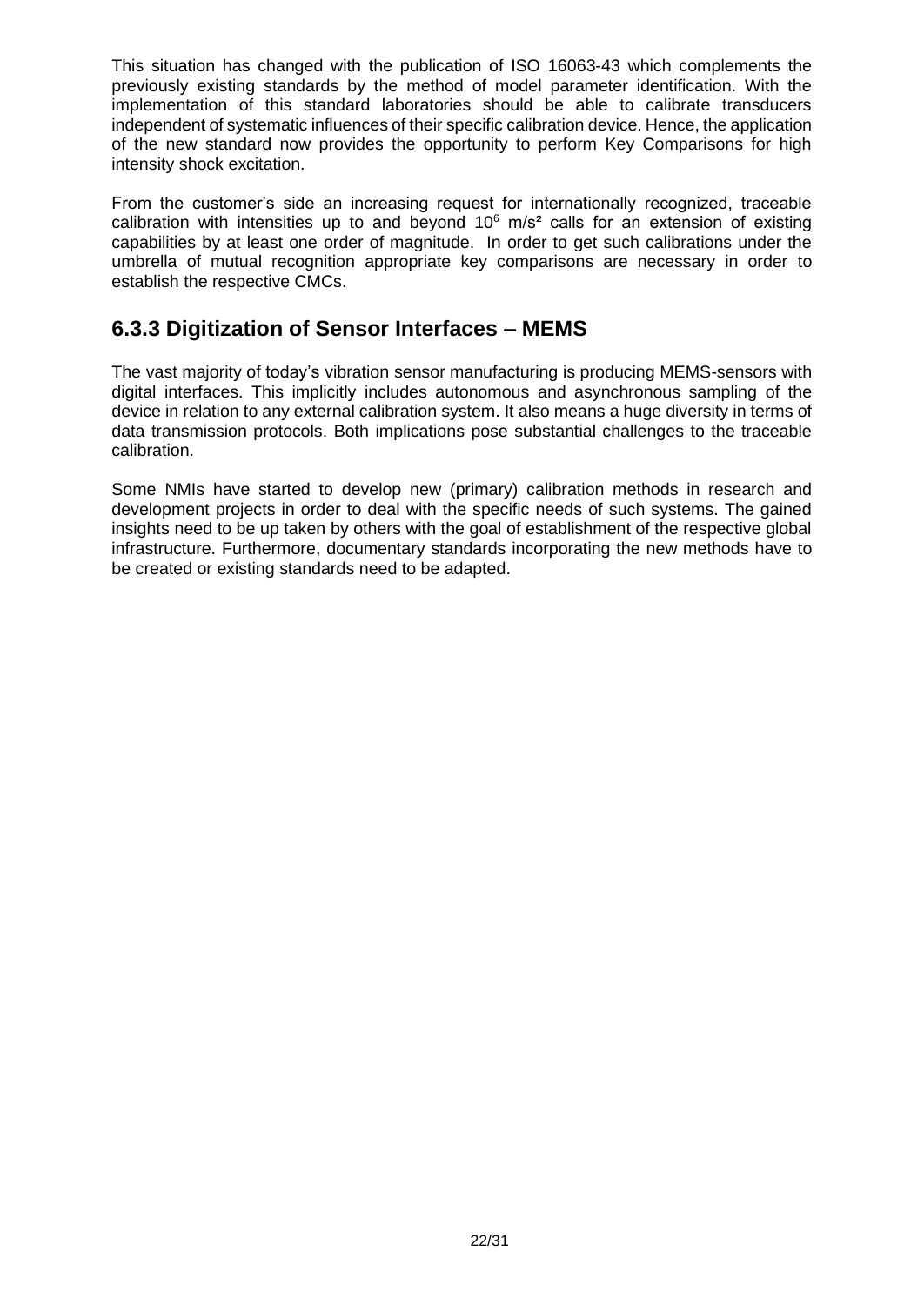This situation has changed with the publication of ISO 16063-43 which complements the previously existing standards by the method of model parameter identification. With the implementation of this standard laboratories should be able to calibrate transducers independent of systematic influences of their specific calibration device. Hence, the application of the new standard now provides the opportunity to perform Key Comparisons for high intensity shock excitation.

From the customer's side an increasing request for internationally recognized, traceable calibration with intensities up to and beyond  $10^6$  m/s<sup>2</sup> calls for an extension of existing capabilities by at least one order of magnitude. In order to get such calibrations under the umbrella of mutual recognition appropriate key comparisons are necessary in order to establish the respective CMCs.

#### <span id="page-21-0"></span>**6.3.3 Digitization of Sensor Interfaces – MEMS**

The vast majority of today's vibration sensor manufacturing is producing MEMS-sensors with digital interfaces. This implicitly includes autonomous and asynchronous sampling of the device in relation to any external calibration system. It also means a huge diversity in terms of data transmission protocols. Both implications pose substantial challenges to the traceable calibration.

Some NMIs have started to develop new (primary) calibration methods in research and development projects in order to deal with the specific needs of such systems. The gained insights need to be up taken by others with the goal of establishment of the respective global infrastructure. Furthermore, documentary standards incorporating the new methods have to be created or existing standards need to be adapted.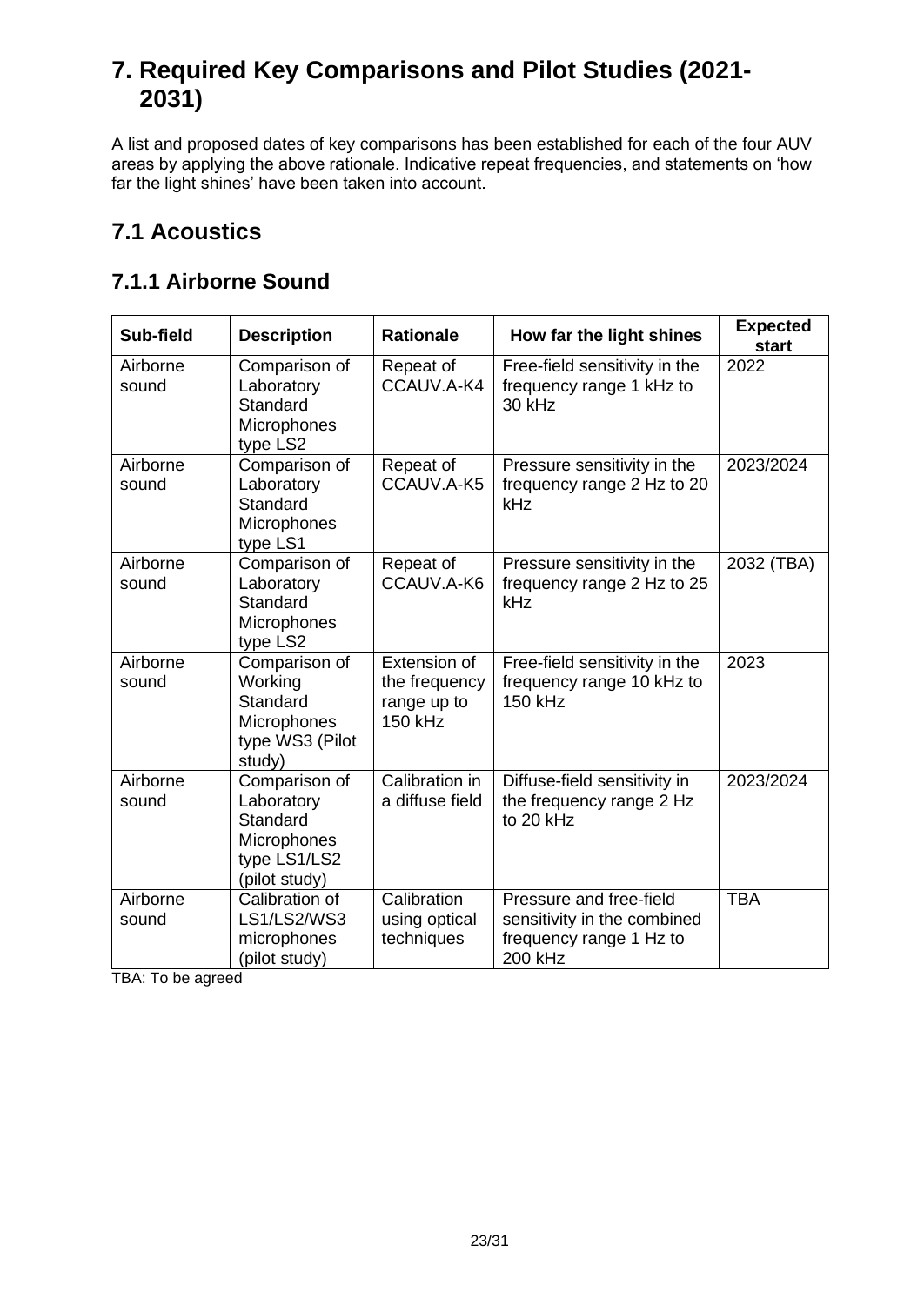# <span id="page-22-0"></span>**7. Required Key Comparisons and Pilot Studies (2021- 2031)**

A list and proposed dates of key comparisons has been established for each of the four AUV areas by applying the above rationale. Indicative repeat frequencies, and statements on 'how far the light shines' have been taken into account.

# <span id="page-22-1"></span>**7.1 Acoustics**

### <span id="page-22-2"></span>**7.1.1 Airborne Sound**

| Sub-field         | <b>Description</b>                                                                      | <b>Rationale</b>                                        | How far the light shines                                                                     | <b>Expected</b><br>start |
|-------------------|-----------------------------------------------------------------------------------------|---------------------------------------------------------|----------------------------------------------------------------------------------------------|--------------------------|
| Airborne<br>sound | Comparison of<br>Laboratory<br>Standard<br>Microphones<br>type LS2                      | Repeat of<br>CCAUV.A-K4                                 | Free-field sensitivity in the<br>frequency range 1 kHz to<br>30 kHz                          | 2022                     |
| Airborne<br>sound | Comparison of<br>Laboratory<br>Standard<br>Microphones<br>type LS1                      | Repeat of<br>CCAUV.A-K5                                 | Pressure sensitivity in the<br>frequency range 2 Hz to 20<br>kHz                             | 2023/2024                |
| Airborne<br>sound | Comparison of<br>Laboratory<br>Standard<br>Microphones<br>type LS2                      | Repeat of<br>CCAUV.A-K6                                 | Pressure sensitivity in the<br>frequency range 2 Hz to 25<br>kHz                             | 2032 (TBA)               |
| Airborne<br>sound | Comparison of<br>Working<br>Standard<br>Microphones<br>type WS3 (Pilot<br>study)        | Extension of<br>the frequency<br>range up to<br>150 kHz | Free-field sensitivity in the<br>frequency range 10 kHz to<br><b>150 kHz</b>                 | 2023                     |
| Airborne<br>sound | Comparison of<br>Laboratory<br>Standard<br>Microphones<br>type LS1/LS2<br>(pilot study) | Calibration in<br>a diffuse field                       | Diffuse-field sensitivity in<br>the frequency range 2 Hz<br>to 20 kHz                        | 2023/2024                |
| Airborne<br>sound | Calibration of<br>LS1/LS2/WS3<br>microphones<br>(pilot study)                           | Calibration<br>using optical<br>techniques              | Pressure and free-field<br>sensitivity in the combined<br>frequency range 1 Hz to<br>200 kHz | <b>TBA</b>               |

TBA: To be agreed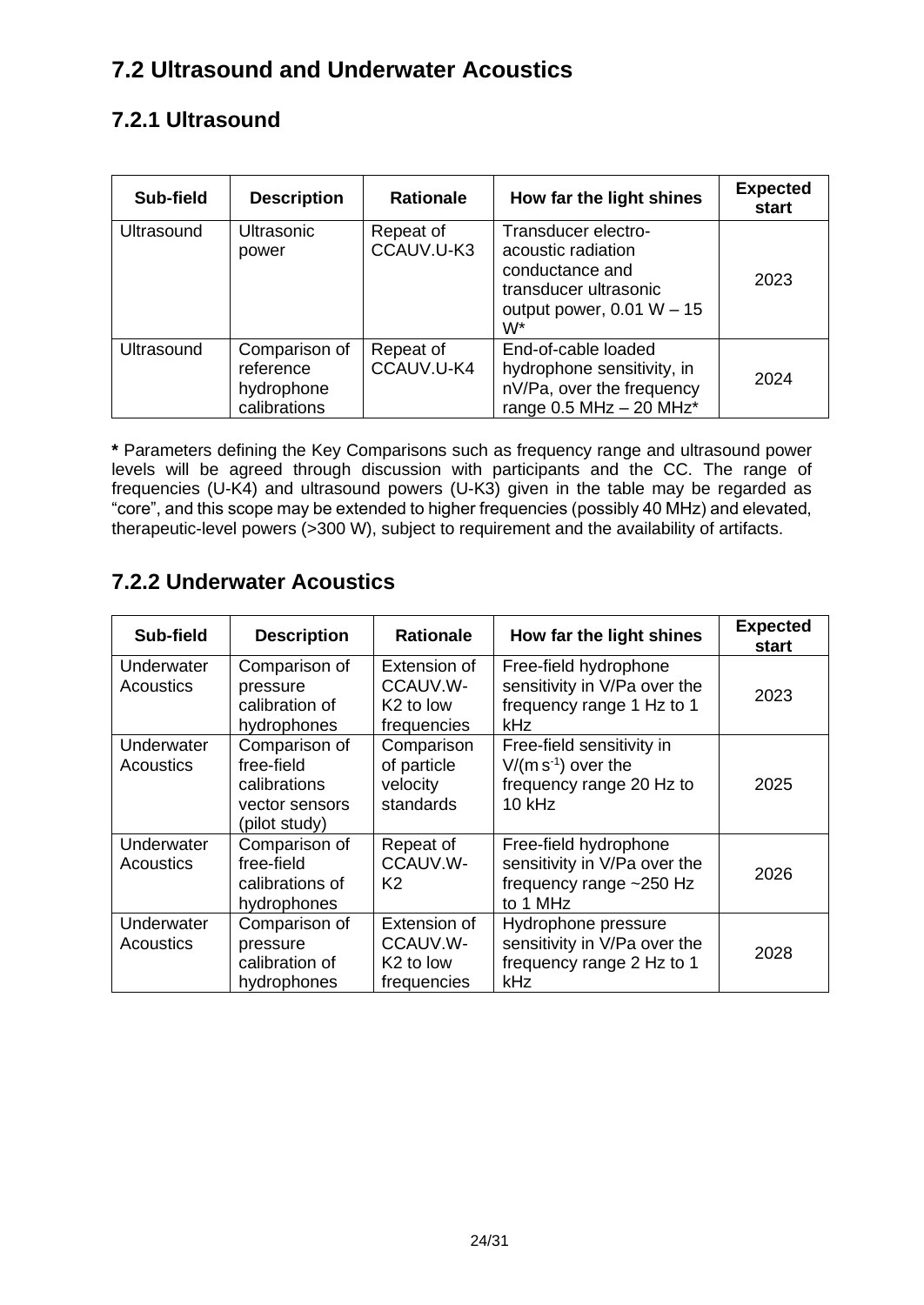# <span id="page-23-0"></span>**7.2 Ultrasound and Underwater Acoustics**

### <span id="page-23-1"></span>**7.2.1 Ultrasound**

| Sub-field         | <b>Description</b>                                       | <b>Rationale</b>        | How far the light shines                                                                                                   | <b>Expected</b><br>start |
|-------------------|----------------------------------------------------------|-------------------------|----------------------------------------------------------------------------------------------------------------------------|--------------------------|
| <b>Ultrasound</b> | <b>Ultrasonic</b><br>power                               | Repeat of<br>CCAUV.U-K3 | Transducer electro-<br>acoustic radiation<br>conductance and<br>transducer ultrasonic<br>output power, $0.01 W - 15$<br>W* | 2023                     |
| <b>Ultrasound</b> | Comparison of<br>reference<br>hydrophone<br>calibrations | Repeat of<br>CCAUV.U-K4 | End-of-cable loaded<br>hydrophone sensitivity, in<br>nV/Pa, over the frequency<br>range $0.5$ MHz $-$ 20 MHz <sup>*</sup>  | 2024                     |

**\*** Parameters defining the Key Comparisons such as frequency range and ultrasound power levels will be agreed through discussion with participants and the CC. The range of frequencies (U-K4) and ultrasound powers (U-K3) given in the table may be regarded as "core", and this scope may be extended to higher frequencies (possibly 40 MHz) and elevated, therapeutic-level powers (>300 W), subject to requirement and the availability of artifacts.

### <span id="page-23-2"></span>**7.2.2 Underwater Acoustics**

| Sub-field                      | <b>Description</b>                                                             | <b>Rationale</b>                                                 | How far the light shines                                                                         | <b>Expected</b><br>start |
|--------------------------------|--------------------------------------------------------------------------------|------------------------------------------------------------------|--------------------------------------------------------------------------------------------------|--------------------------|
| Underwater<br><b>Acoustics</b> | Comparison of<br>pressure<br>calibration of<br>hydrophones                     | Extension of<br>CCAUV.W-<br>K <sub>2</sub> to low<br>frequencies | Free-field hydrophone<br>sensitivity in V/Pa over the<br>frequency range 1 Hz to 1<br><b>kHz</b> | 2023                     |
| Underwater<br>Acoustics        | Comparison of<br>free-field<br>calibrations<br>vector sensors<br>(pilot study) | Comparison<br>of particle<br>velocity<br>standards               | Free-field sensitivity in<br>$V/(m s-1)$ over the<br>frequency range 20 Hz to<br>$10$ kHz        | 2025                     |
| Underwater<br><b>Acoustics</b> | Comparison of<br>free-field<br>calibrations of<br>hydrophones                  | Repeat of<br>CCAUV.W-<br>K <sub>2</sub>                          | Free-field hydrophone<br>sensitivity in V/Pa over the<br>frequency range ~250 Hz<br>to 1 MHz     | 2026                     |
| Underwater<br><b>Acoustics</b> | Comparison of<br>pressure<br>calibration of<br>hydrophones                     | Extension of<br>CCAUV.W-<br>K <sub>2</sub> to low<br>frequencies | Hydrophone pressure<br>sensitivity in V/Pa over the<br>frequency range 2 Hz to 1<br>kHz          | 2028                     |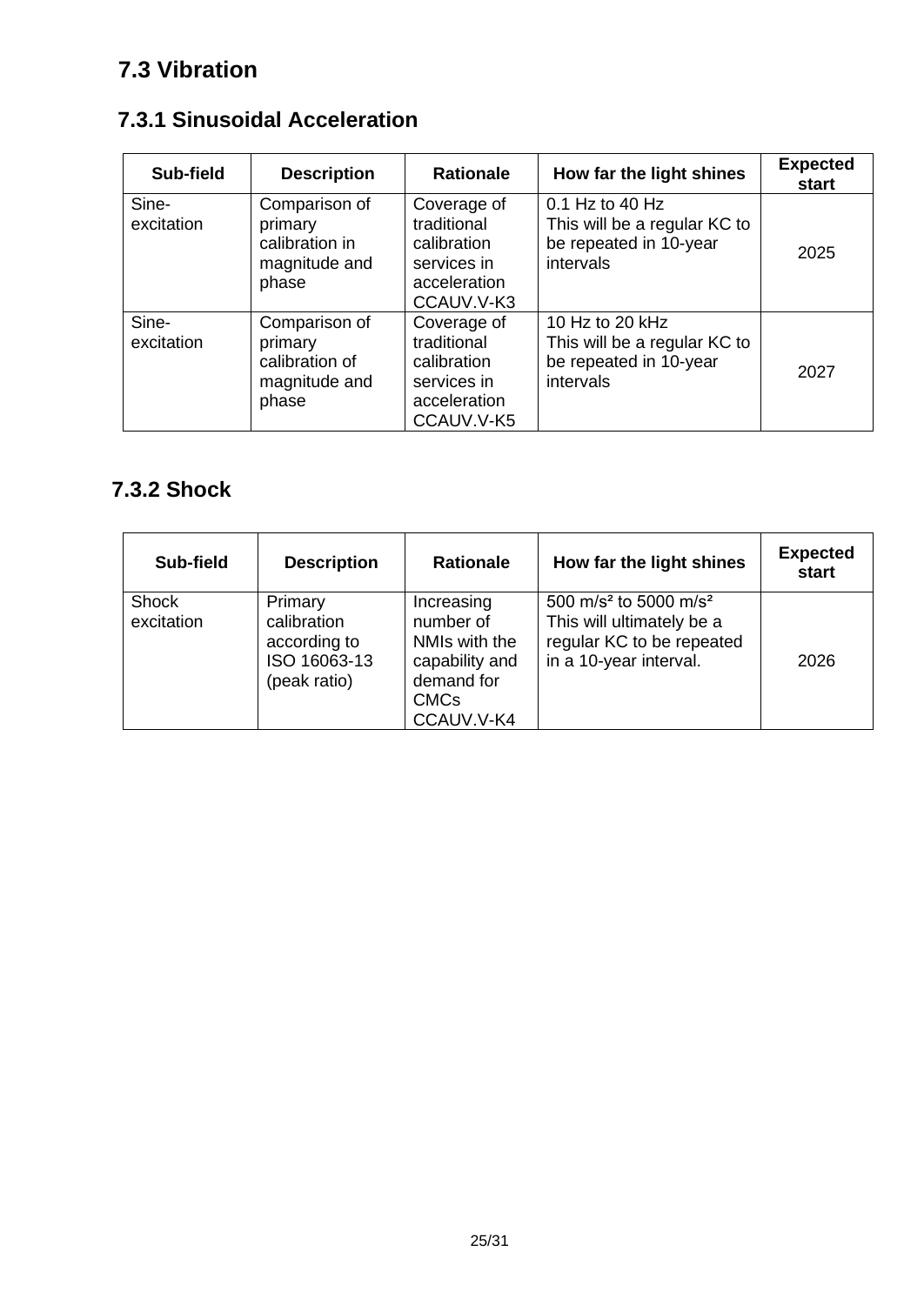# <span id="page-24-0"></span>**7.3 Vibration**

# <span id="page-24-1"></span>**7.3.1 Sinusoidal Acceleration**

| Sub-field           | <b>Description</b>                                                   | <b>Rationale</b>                                                                       | How far the light shines                                                               | <b>Expected</b><br>start |
|---------------------|----------------------------------------------------------------------|----------------------------------------------------------------------------------------|----------------------------------------------------------------------------------------|--------------------------|
| Sine-<br>excitation | Comparison of<br>primary<br>calibration in<br>magnitude and<br>phase | Coverage of<br>traditional<br>calibration<br>services in<br>acceleration<br>CCAUV.V-K3 | 0.1 Hz to 40 Hz<br>This will be a regular KC to<br>be repeated in 10-year<br>intervals | 2025                     |
| Sine-<br>excitation | Comparison of<br>primary<br>calibration of<br>magnitude and<br>phase | Coverage of<br>traditional<br>calibration<br>services in<br>acceleration<br>CCAUV.V-K5 | 10 Hz to 20 kHz<br>This will be a regular KC to<br>be repeated in 10-year<br>intervals | 2027                     |

# <span id="page-24-2"></span>**7.3.2 Shock**

| Sub-field                  | <b>Description</b>                                                     | <b>Rationale</b>                                                                                      | How far the light shines                                                                                                          | <b>Expected</b><br>start |
|----------------------------|------------------------------------------------------------------------|-------------------------------------------------------------------------------------------------------|-----------------------------------------------------------------------------------------------------------------------------------|--------------------------|
| <b>Shock</b><br>excitation | Primary<br>calibration<br>according to<br>ISO 16063-13<br>(peak ratio) | Increasing<br>number of<br>NMIs with the<br>capability and<br>demand for<br><b>CMCs</b><br>CCAUV.V-K4 | 500 m/s <sup>2</sup> to 5000 m/s <sup>2</sup><br>This will ultimately be a<br>regular KC to be repeated<br>in a 10-year interval. | 2026                     |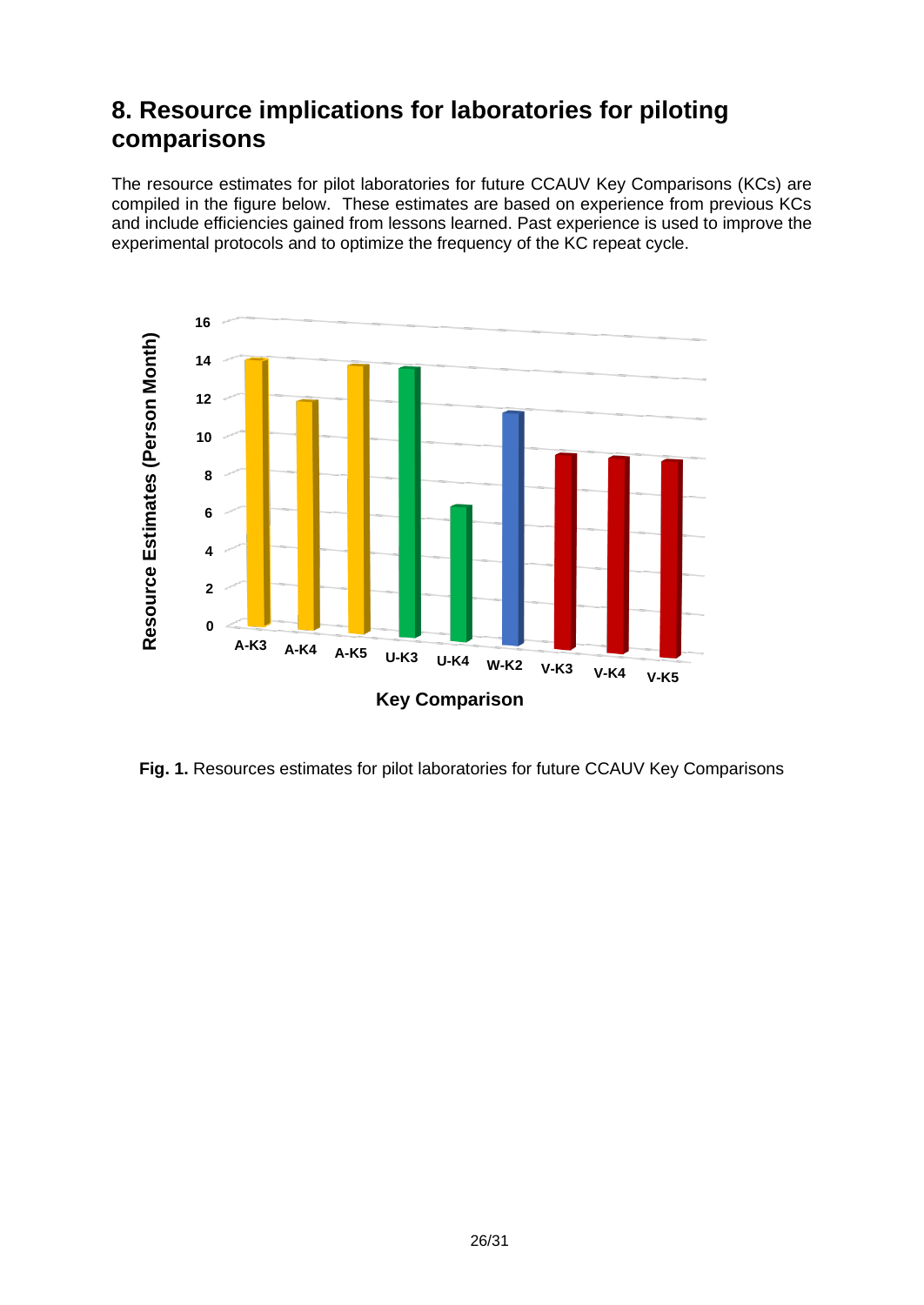# <span id="page-25-0"></span>**8. Resource implications for laboratories for piloting comparisons**

The resource estimates for pilot laboratories for future CCAUV Key Comparisons (KCs) are compiled in the figure below. These estimates are based on experience from previous KCs and include efficiencies gained from lessons learned. Past experience is used to improve the experimental protocols and to optimize the frequency of the KC repeat cycle.



**Fig. 1.** Resources estimates for pilot laboratories for future CCAUV Key Comparisons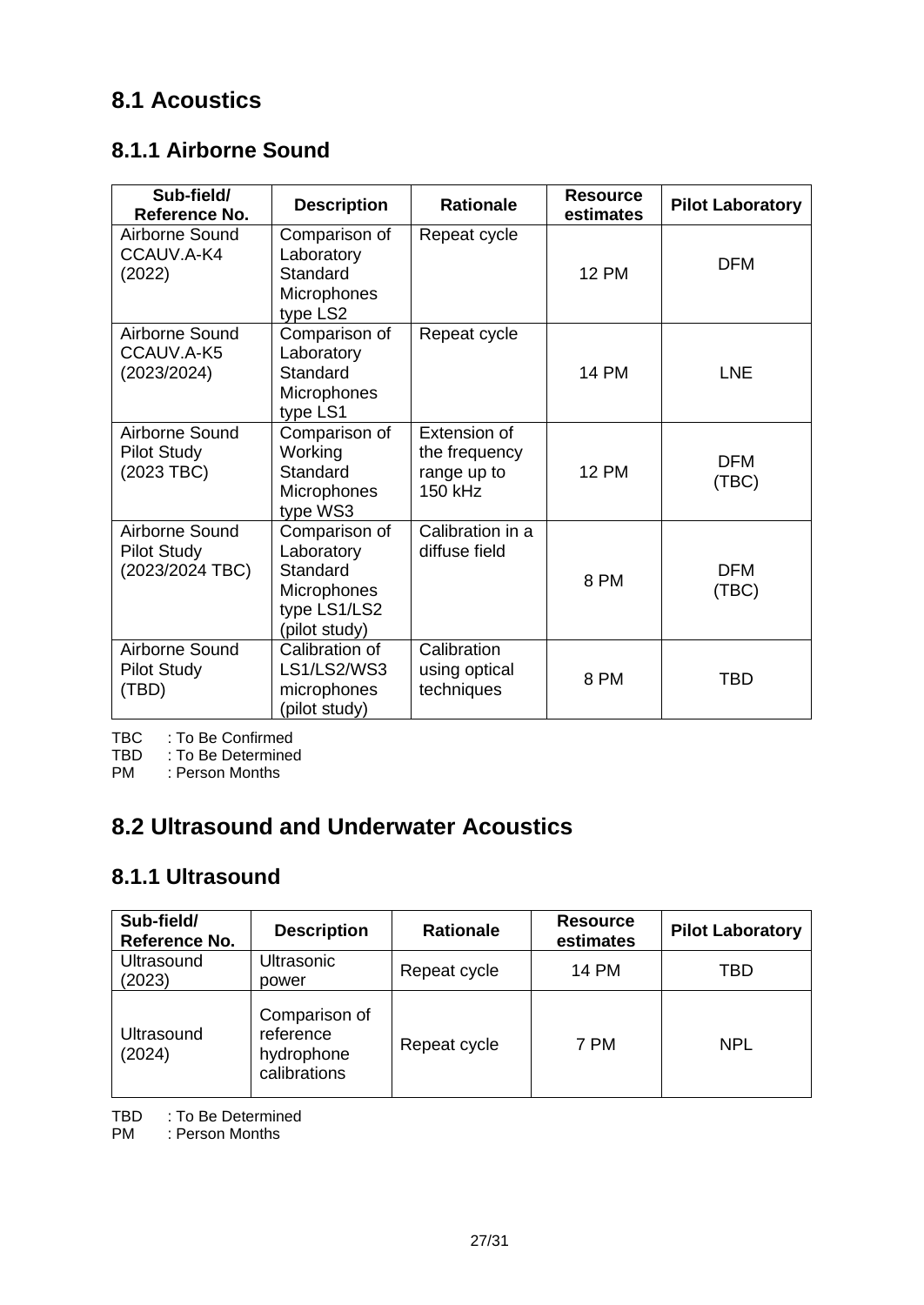## <span id="page-26-0"></span>**8.1 Acoustics**

### <span id="page-26-1"></span>**8.1.1 Airborne Sound**

| Sub-field/<br>Reference No.                             | <b>Description</b>                                                                      | <b>Rationale</b>                                        | <b>Resource</b><br>estimates | <b>Pilot Laboratory</b> |
|---------------------------------------------------------|-----------------------------------------------------------------------------------------|---------------------------------------------------------|------------------------------|-------------------------|
| Airborne Sound<br>CCAUV.A-K4<br>(2022)                  | Comparison of<br>Laboratory<br>Standard<br>Microphones<br>type LS2                      | Repeat cycle                                            | <b>12 PM</b>                 | <b>DFM</b>              |
| Airborne Sound<br>CCAUV.A-K5<br>(2023/2024)             | Comparison of<br>Laboratory<br>Standard<br>Microphones<br>type LS1                      | Repeat cycle                                            | <b>14 PM</b>                 | <b>LNE</b>              |
| Airborne Sound<br><b>Pilot Study</b><br>(2023 TBC)      | Comparison of<br>Working<br>Standard<br>Microphones<br>type WS3                         | Extension of<br>the frequency<br>range up to<br>150 kHz | <b>12 PM</b>                 | <b>DFM</b><br>(TBC)     |
| Airborne Sound<br><b>Pilot Study</b><br>(2023/2024 TBC) | Comparison of<br>Laboratory<br>Standard<br>Microphones<br>type LS1/LS2<br>(pilot study) | Calibration in a<br>diffuse field                       | 8 PM                         | <b>DFM</b><br>(TBC)     |
| Airborne Sound<br><b>Pilot Study</b><br>(TBD)           | Calibration of<br>LS1/LS2/WS3<br>microphones<br>(pilot study)                           | Calibration<br>using optical<br>techniques              | 8 PM                         | <b>TBD</b>              |

TBC : To Be Confirmed

TBD : To Be Determined<br>PM : Person Months

: Person Months

# <span id="page-26-2"></span>**8.2 Ultrasound and Underwater Acoustics**

### <span id="page-26-3"></span>**8.1.1 Ultrasound**

| Sub-field/<br>Reference No. | <b>Description</b>                                       | <b>Rationale</b> | <b>Resource</b><br>estimates | <b>Pilot Laboratory</b> |
|-----------------------------|----------------------------------------------------------|------------------|------------------------------|-------------------------|
| Ultrasound<br>(2023)        | Ultrasonic<br>power                                      | Repeat cycle     | <b>14 PM</b>                 | TBD                     |
| Ultrasound<br>(2024)        | Comparison of<br>reference<br>hydrophone<br>calibrations | Repeat cycle     | 7 PM                         | <b>NPL</b>              |

TBD : To Be Determined

PM : Person Months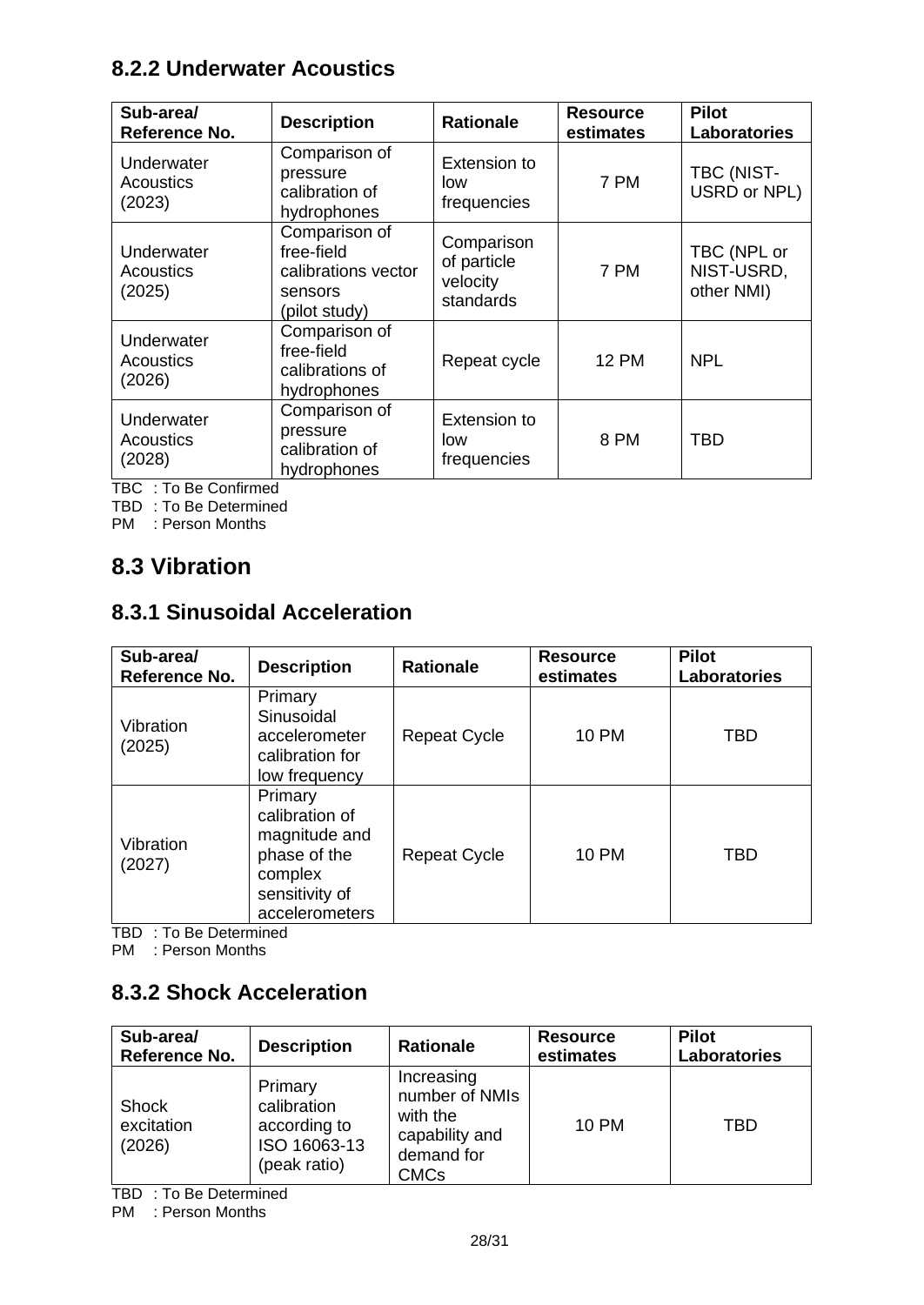### <span id="page-27-0"></span>**8.2.2 Underwater Acoustics**

| Sub-area/<br>Reference No.               | <b>Description</b>                                                             | <b>Rationale</b>                                   | <b>Resource</b><br>estimates | <b>Pilot</b><br><b>Laboratories</b>     |
|------------------------------------------|--------------------------------------------------------------------------------|----------------------------------------------------|------------------------------|-----------------------------------------|
| Underwater<br>Acoustics<br>(2023)        | Comparison of<br>pressure<br>calibration of<br>hydrophones                     | Extension to<br>low<br>frequencies                 | 7 PM                         | TBC (NIST-<br>USRD or NPL)              |
| Underwater<br><b>Acoustics</b><br>(2025) | Comparison of<br>free-field<br>calibrations vector<br>sensors<br>(pilot study) | Comparison<br>of particle<br>velocity<br>standards | 7 PM                         | TBC (NPL or<br>NIST-USRD,<br>other NMI) |
| Underwater<br><b>Acoustics</b><br>(2026) | Comparison of<br>free-field<br>calibrations of<br>hydrophones                  | Repeat cycle                                       | <b>12 PM</b>                 | <b>NPL</b>                              |
| Underwater<br><b>Acoustics</b><br>(2028) | Comparison of<br>pressure<br>calibration of<br>hydrophones                     | Extension to<br>low<br>frequencies                 | 8 PM                         | TBD                                     |

TBC : To Be Confirmed

TBD : To Be Determined

PM : Person Months

### <span id="page-27-1"></span>**8.3 Vibration**

### <span id="page-27-2"></span>**8.3.1 Sinusoidal Acceleration**

| Sub-area/<br>Reference No. | <b>Description</b>                                                                                        | <b>Rationale</b>    | <b>Resource</b><br>estimates | <b>Pilot</b><br><b>Laboratories</b> |
|----------------------------|-----------------------------------------------------------------------------------------------------------|---------------------|------------------------------|-------------------------------------|
| Vibration<br>(2025)        | Primary<br>Sinusoidal<br>accelerometer<br>calibration for<br>low frequency                                | <b>Repeat Cycle</b> | <b>10 PM</b>                 | TBD                                 |
| Vibration<br>(2027)        | Primary<br>calibration of<br>magnitude and<br>phase of the<br>complex<br>sensitivity of<br>accelerometers | <b>Repeat Cycle</b> | <b>10 PM</b>                 | TBD                                 |

TBD : To Be Determined

PM : Person Months

#### <span id="page-27-3"></span>**8.3.2 Shock Acceleration**

| Sub-area/<br>Reference No.           | <b>Description</b>                                                     | <b>Rationale</b>                                                                 | <b>Resource</b><br>estimates | <b>Pilot</b><br><b>Laboratories</b> |
|--------------------------------------|------------------------------------------------------------------------|----------------------------------------------------------------------------------|------------------------------|-------------------------------------|
| <b>Shock</b><br>excitation<br>(2026) | Primary<br>calibration<br>according to<br>ISO 16063-13<br>(peak ratio) | Increasing<br>number of NMIs<br>with the<br>capability and<br>demand for<br>CMCs | <b>10 PM</b>                 | TBD                                 |

TBD : To Be Determined

PM : Person Months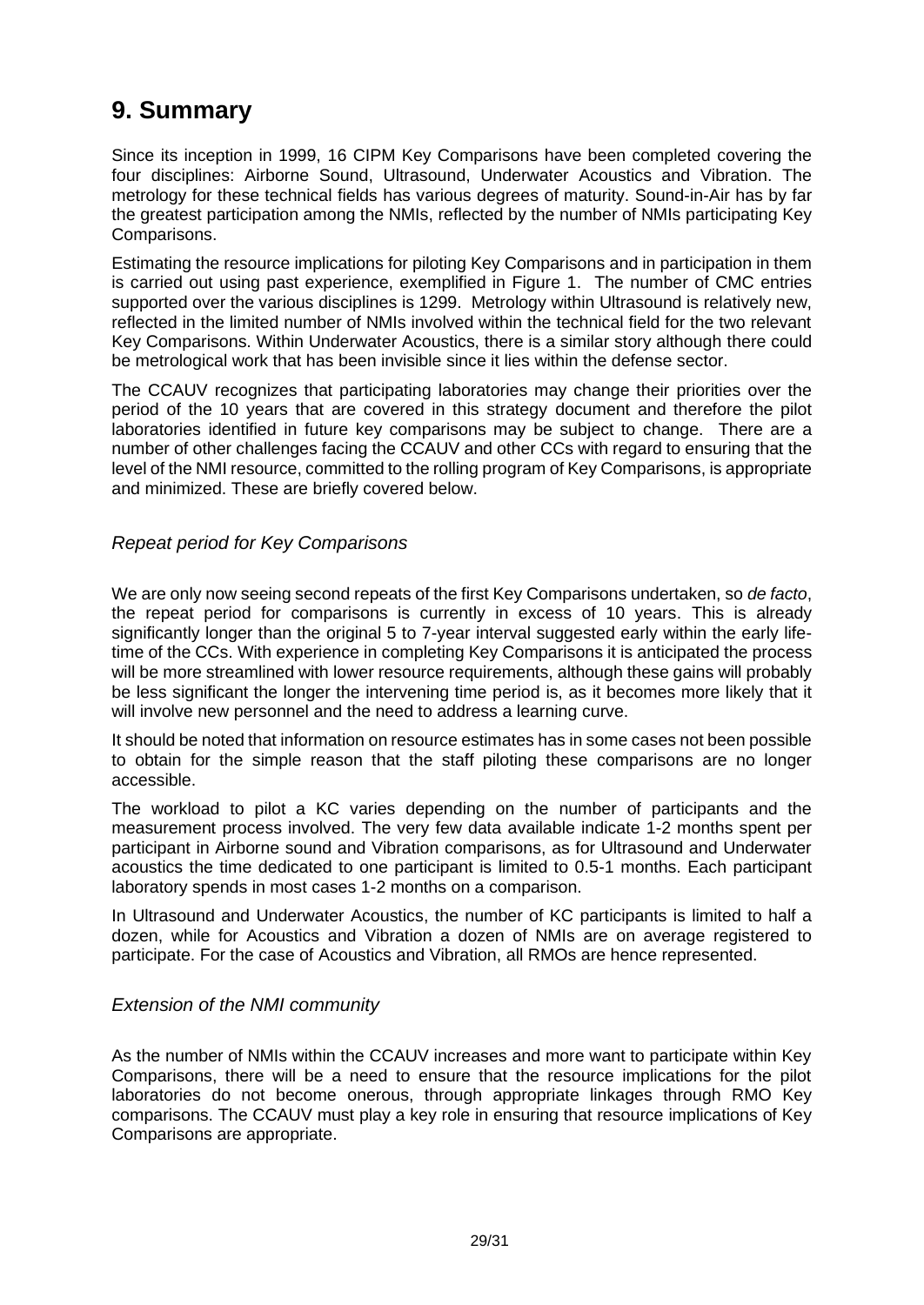# <span id="page-28-0"></span>**9. Summary**

Since its inception in 1999, 16 CIPM Key Comparisons have been completed covering the four disciplines: Airborne Sound, Ultrasound, Underwater Acoustics and Vibration. The metrology for these technical fields has various degrees of maturity. Sound-in-Air has by far the greatest participation among the NMIs, reflected by the number of NMIs participating Key Comparisons.

Estimating the resource implications for piloting Key Comparisons and in participation in them is carried out using past experience, exemplified in Figure 1. The number of CMC entries supported over the various disciplines is 1299. Metrology within Ultrasound is relatively new, reflected in the limited number of NMIs involved within the technical field for the two relevant Key Comparisons. Within Underwater Acoustics, there is a similar story although there could be metrological work that has been invisible since it lies within the defense sector.

The CCAUV recognizes that participating laboratories may change their priorities over the period of the 10 years that are covered in this strategy document and therefore the pilot laboratories identified in future key comparisons may be subject to change. There are a number of other challenges facing the CCAUV and other CCs with regard to ensuring that the level of the NMI resource, committed to the rolling program of Key Comparisons, is appropriate and minimized. These are briefly covered below.

#### <span id="page-28-1"></span>*Repeat period for Key Comparisons*

We are only now seeing second repeats of the first Key Comparisons undertaken, so *de facto*, the repeat period for comparisons is currently in excess of 10 years. This is already significantly longer than the original 5 to 7-year interval suggested early within the early lifetime of the CCs. With experience in completing Key Comparisons it is anticipated the process will be more streamlined with lower resource requirements, although these gains will probably be less significant the longer the intervening time period is, as it becomes more likely that it will involve new personnel and the need to address a learning curve.

It should be noted that information on resource estimates has in some cases not been possible to obtain for the simple reason that the staff piloting these comparisons are no longer accessible.

The workload to pilot a KC varies depending on the number of participants and the measurement process involved. The very few data available indicate 1-2 months spent per participant in Airborne sound and Vibration comparisons, as for Ultrasound and Underwater acoustics the time dedicated to one participant is limited to 0.5-1 months. Each participant laboratory spends in most cases 1-2 months on a comparison.

In Ultrasound and Underwater Acoustics, the number of KC participants is limited to half a dozen, while for Acoustics and Vibration a dozen of NMIs are on average registered to participate. For the case of Acoustics and Vibration, all RMOs are hence represented.

#### <span id="page-28-2"></span>*Extension of the NMI community*

As the number of NMIs within the CCAUV increases and more want to participate within Key Comparisons, there will be a need to ensure that the resource implications for the pilot laboratories do not become onerous, through appropriate linkages through RMO Key comparisons. The CCAUV must play a key role in ensuring that resource implications of Key Comparisons are appropriate.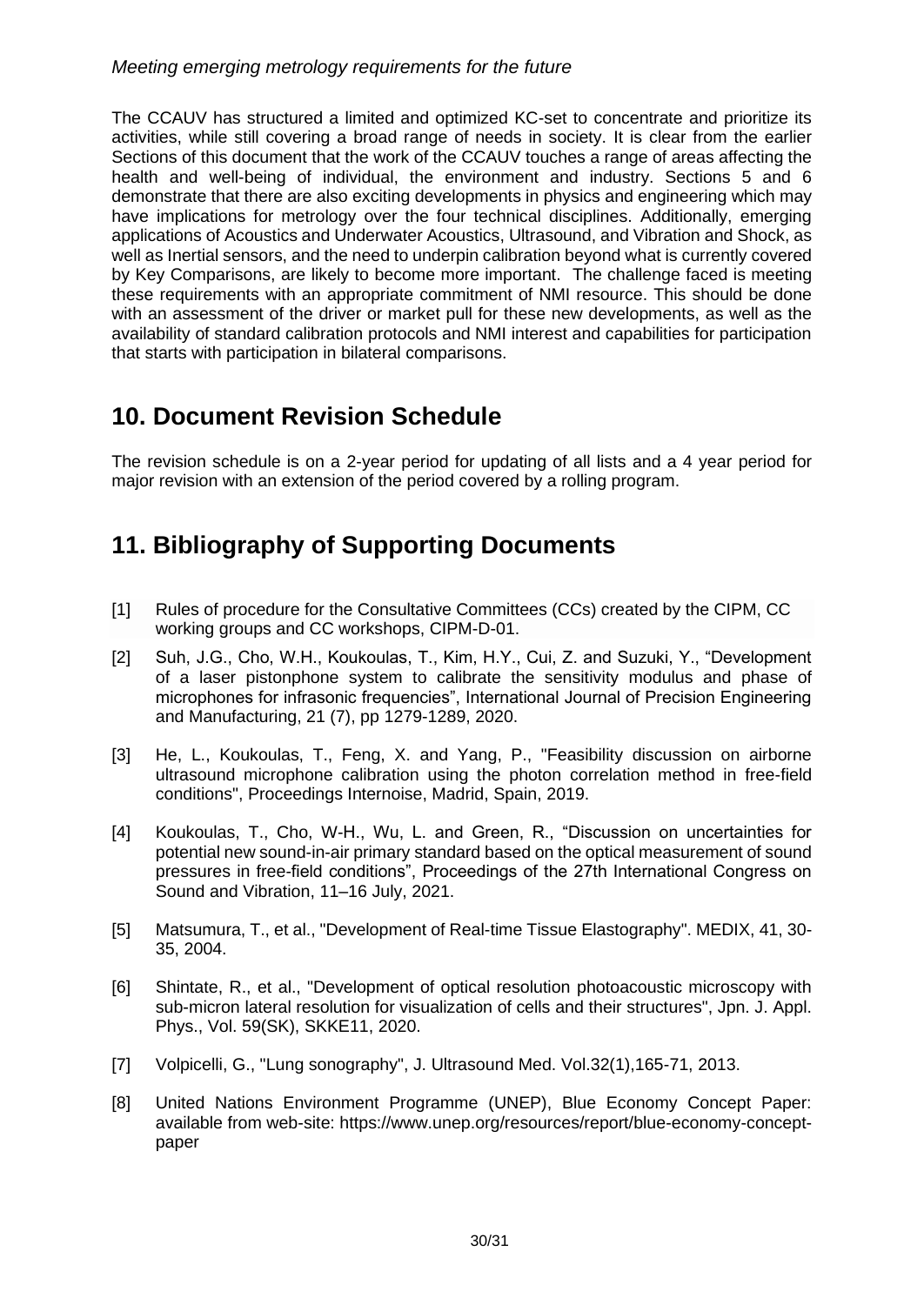#### <span id="page-29-0"></span>*Meeting emerging metrology requirements for the future*

The CCAUV has structured a limited and optimized KC-set to concentrate and prioritize its activities, while still covering a broad range of needs in society. It is clear from the earlier Sections of this document that the work of the CCAUV touches a range of areas affecting the health and well-being of individual, the environment and industry. Sections 5 and 6 demonstrate that there are also exciting developments in physics and engineering which may have implications for metrology over the four technical disciplines. Additionally, emerging applications of Acoustics and Underwater Acoustics, Ultrasound, and Vibration and Shock, as well as Inertial sensors, and the need to underpin calibration beyond what is currently covered by Key Comparisons, are likely to become more important. The challenge faced is meeting these requirements with an appropriate commitment of NMI resource. This should be done with an assessment of the driver or market pull for these new developments, as well as the availability of standard calibration protocols and NMI interest and capabilities for participation that starts with participation in bilateral comparisons.

## <span id="page-29-1"></span>**10. Document Revision Schedule**

The revision schedule is on a 2-year period for updating of all lists and a 4 year period for major revision with an extension of the period covered by a rolling program.

# <span id="page-29-2"></span>**11. Bibliography of Supporting Documents**

- [1] Rules of procedure for the Consultative Committees (CCs) created by the CIPM, CC working groups and CC workshops, CIPM-D-01.
- [2] Suh, J.G., Cho, W.H., Koukoulas, T., Kim, H.Y., Cui, Z. and Suzuki, Y., "Development of a laser pistonphone system to calibrate the sensitivity modulus and phase of microphones for infrasonic frequencies", International Journal of Precision Engineering and Manufacturing, 21 (7), pp [1279-1289, 2020.](callto:1279-1289,%202020)
- [3] He, L., Koukoulas, T., Feng, X. and Yang, P., "Feasibility discussion on airborne ultrasound microphone calibration using the photon correlation method in free-field conditions", Proceedings Internoise, Madrid, Spain, 2019.
- [4] Koukoulas, T., Cho, W-H., Wu, L. and Green, R., "Discussion on uncertainties for potential new sound-in-air primary standard based on the optical measurement of sound pressures in free-field conditions", Proceedings of the 27th International Congress on Sound and Vibration, 11–16 July, 2021.
- [5] Matsumura, T., et al., "Development of Real-time Tissue Elastography". MEDIX, 41, 30- 35, 2004.
- [6] Shintate, R., et al., "Development of optical resolution photoacoustic microscopy with sub-micron lateral resolution for visualization of cells and their structures", Jpn. J. Appl. Phys., Vol. 59(SK), SKKE11, 2020.
- [7] Volpicelli, G., "Lung sonography", J. Ultrasound Med. Vol.32(1),165-71, 2013.
- [8] United Nations Environment Programme (UNEP), Blue Economy Concept Paper: available from web-site: [https://www.unep.org/resources/report/blue-economy-concept](https://www.unep.org/resources/report/blue-economy-concept-paper)[paper](https://www.unep.org/resources/report/blue-economy-concept-paper)